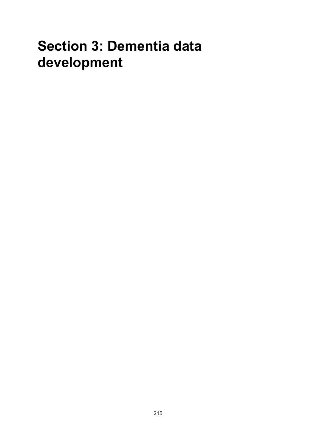# **Section 3: Dementia data development**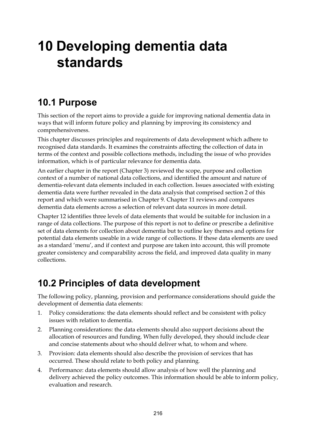# **10 Developing dementia data standards**

# **10.1 Purpose**

This section of the report aims to provide a guide for improving national dementia data in ways that will inform future policy and planning by improving its consistency and comprehensiveness.

This chapter discusses principles and requirements of data development which adhere to recognised data standards. It examines the constraints affecting the collection of data in terms of the context and possible collections methods, including the issue of who provides information, which is of particular relevance for dementia data.

An earlier chapter in the report (Chapter 3) reviewed the scope, purpose and collection context of a number of national data collections, and identified the amount and nature of dementia-relevant data elements included in each collection. Issues associated with existing dementia data were further revealed in the data analysis that comprised section 2 of this report and which were summarised in Chapter 9. Chapter 11 reviews and compares dementia data elements across a selection of relevant data sources in more detail.

Chapter 12 identifies three levels of data elements that would be suitable for inclusion in a range of data collections. The purpose of this report is not to define or prescribe a definitive set of data elements for collection about dementia but to outline key themes and options for potential data elements useable in a wide range of collections. If these data elements are used as a standard 'menu', and if context and purpose are taken into account, this will promote greater consistency and comparability across the field, and improved data quality in many collections.

# **10.2 Principles of data development**

The following policy, planning, provision and performance considerations should guide the development of dementia data elements:

- 1. Policy considerations: the data elements should reflect and be consistent with policy issues with relation to dementia.
- 2. Planning considerations: the data elements should also support decisions about the allocation of resources and funding. When fully developed, they should include clear and concise statements about who should deliver what, to whom and where.
- 3. Provision: data elements should also describe the provision of services that has occurred. These should relate to both policy and planning.
- 4. Performance: data elements should allow analysis of how well the planning and delivery achieved the policy outcomes. This information should be able to inform policy, evaluation and research.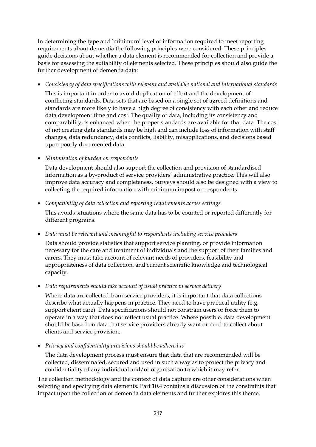In determining the type and 'minimum' level of information required to meet reporting requirements about dementia the following principles were considered. These principles guide decisions about whether a data element is recommended for collection and provide a basis for assessing the suitability of elements selected. These principles should also guide the further development of dementia data:

• *Consistency of data specifications with relevant and available national and international standards* 

This is important in order to avoid duplication of effort and the development of conflicting standards. Data sets that are based on a single set of agreed definitions and standards are more likely to have a high degree of consistency with each other and reduce data development time and cost. The quality of data, including its consistency and comparability, is enhanced when the proper standards are available for that data. The cost of not creating data standards may be high and can include loss of information with staff changes, data redundancy, data conflicts, liability, misapplications, and decisions based upon poorly documented data.

• *Minimisation of burden on respondents* 

Data development should also support the collection and provision of standardised information as a by-product of service providers' administrative practice. This will also improve data accuracy and completeness. Surveys should also be designed with a view to collecting the required information with minimum impost on respondents.

• *Compatibility of data collection and reporting requirements across settings*  This avoids situations where the same data has to be counted or reported differently for different programs.

• *Data must be relevant and meaningful to respondents including service providers* 

Data should provide statistics that support service planning, or provide information necessary for the care and treatment of individuals and the support of their families and carers. They must take account of relevant needs of providers, feasibility and appropriateness of data collection, and current scientific knowledge and technological capacity.

• *Data requirements should take account of usual practice in service delivery* 

Where data are collected from service providers, it is important that data collections describe what actually happens in practice. They need to have practical utility (e.g. support client care). Data specifications should not constrain users or force them to operate in a way that does not reflect usual practice. Where possible, data development should be based on data that service providers already want or need to collect about clients and service provision.

• *Privacy and confidentiality provisions should be adhered to* 

The data development process must ensure that data that are recommended will be collected, disseminated, secured and used in such a way as to protect the privacy and confidentiality of any individual and/or organisation to which it may refer.

The collection methodology and the context of data capture are other considerations when selecting and specifying data elements. Part 10.4 contains a discussion of the constraints that impact upon the collection of dementia data elements and further explores this theme.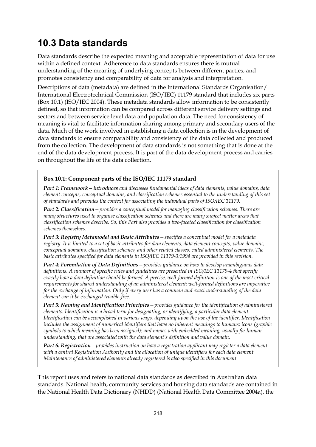# **10.3 Data standards**

Data standards describe the expected meaning and acceptable representation of data for use within a defined context. Adherence to data standards ensures there is mutual understanding of the meaning of underlying concepts between different parties, and promotes consistency and comparability of data for analysis and interpretation.

Descriptions of data (metadata) are defined in the International Standards Organisation/ International Electrotechnical Commission (ISO/IEC) 11179 standard that includes six parts (Box 10.1) (ISO/IEC 2004). These metadata standards allow information to be consistently defined, so that information can be compared across different service delivery settings and sectors and between service level data and population data. The need for consistency of meaning is vital to facilitate information sharing among primary and secondary users of the data. Much of the work involved in establishing a data collection is in the development of data standards to ensure comparability and consistency of the data collected and produced from the collection. The development of data standards is not something that is done at the end of the data development process. It is part of the data development process and carries on throughout the life of the data collection.

## **Box 10.1: Component parts of the ISO/IEC 11179 standard**

*Part 1: Framework—introduces and discusses fundamental ideas of data elements, value domains, data element concepts, conceptual domains, and classification schemes essential to the understanding of this set of standards and provides the context for associating the individual parts of ISO/IEC 11179.* 

*Part 2: Classification—provides a conceptual model for managing classification schemes. There are many structures used to organise classification schemes and there are many subject matter areas that classification schemes describe. So, this Part also provides a two-faceted classification for classification schemes themselves.* 

*Part 3: Registry Metamodel and Basic Attributes—specifies a conceptual model for a metadata registry. It is limited to a set of basic attributes for data elements, data element concepts, value domains, conceptual domains, classification schemes, and other related classes, called administered elements. The basic attributes specified for data elements in ISO/IEC 11179-3:1994 are provided in this revision.* 

*Part 4: Formulation of Data Definitions—provides guidance on how to develop unambiguous data definitions. A number of specific rules and guidelines are presented in ISO/IEC 11179-4 that specify exactly how a data definition should be formed. A precise, well-formed definition is one of the most critical requirements for shared understanding of an administered element; well-formed definitions are imperative for the exchange of information. Only if every user has a common and exact understanding of the data element can it be exchanged trouble-free.* 

*Part 5: Naming and Identification Principles* – provides guidance for the identification of administered *elements. Identification is a broad term for designating, or identifying, a particular data element. Identification can be accomplished in various ways, depending upon the use of the identifier. Identification includes the assignment of numerical identifiers that have no inherent meanings to humans; icons (graphic symbols to which meaning has been assigned); and names with embedded meaning, usually for human understanding, that are associated with the data element's definition and value domain.* 

*Part 6: Registration—provides instruction on how a registration applicant may register a data element with a central Registration Authority and the allocation of unique identifiers for each data element. Maintenance of administered elements already registered is also specified in this document.* 

This report uses and refers to national data standards as described in Australian data standards. National health, community services and housing data standards are contained in the National Health Data Dictionary (NHDD) (National Health Data Committee 2004a), the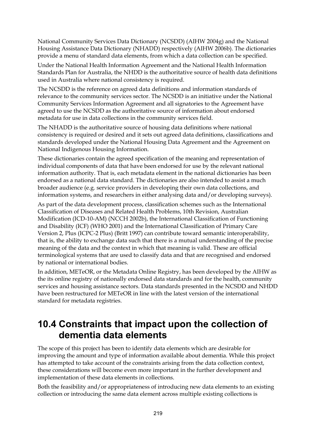National Community Services Data Dictionary (NCSDD) (AIHW 2004g) and the National Housing Assistance Data Dictionary (NHADD) respectively (AIHW 2006b). The dictionaries provide a menu of standard data elements, from which a data collection can be specified.

Under the National Health Information Agreement and the National Health Information Standards Plan for Australia, the NHDD is the authoritative source of health data definitions used in Australia where national consistency is required.

The NCSDD is the reference on agreed data definitions and information standards of relevance to the community services sector. The NCSDD is an initiative under the National Community Services Information Agreement and all signatories to the Agreement have agreed to use the NCSDD as the authoritative source of information about endorsed metadata for use in data collections in the community services field.

The NHADD is the authoritative source of housing data definitions where national consistency is required or desired and it sets out agreed data definitions, classifications and standards developed under the National Housing Data Agreement and the Agreement on National Indigenous Housing Information.

These dictionaries contain the agreed specification of the meaning and representation of individual components of data that have been endorsed for use by the relevant national information authority. That is, each metadata element in the national dictionaries has been endorsed as a national data standard. The dictionaries are also intended to assist a much broader audience (e.g. service providers in developing their own data collections, and information systems, and researchers in either analysing data and/or developing surveys).

As part of the data development process, classification schemes such as the International Classification of Diseases and Related Health Problems, 10th Revision, Australian Modification (ICD-10-AM) (NCCH 2002b), the International Classification of Functioning and Disability (ICF) (WHO 2001) and the International Classification of Primary Care Version 2, Plus (ICPC-2 Plus) (Britt 1997) can contribute toward semantic interoperability, that is, the ability to exchange data such that there is a mutual understanding of the precise meaning of the data and the context in which that meaning is valid. These are official terminological systems that are used to classify data and that are recognised and endorsed by national or international bodies.

In addition, METeOR, or the Metadata Online Registry, has been developed by the AIHW as the its online registry of nationally endorsed data standards and for the health, community services and housing assistance sectors. Data standards presented in the NCSDD and NHDD have been restructured for METeOR in line with the latest version of the international standard for metadata registries.

# **10.4 Constraints that impact upon the collection of dementia data elements**

The scope of this project has been to identify data elements which are desirable for improving the amount and type of information available about dementia. While this project has attempted to take account of the constraints arising from the data collection context, these considerations will become even more important in the further development and implementation of these data elements in collections.

Both the feasibility and/or appropriateness of introducing new data elements to an existing collection or introducing the same data element across multiple existing collections is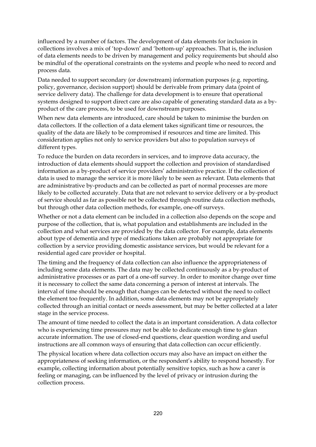influenced by a number of factors. The development of data elements for inclusion in collections involves a mix of 'top-down' and 'bottom-up' approaches. That is, the inclusion of data elements needs to be driven by management and policy requirements but should also be mindful of the operational constraints on the systems and people who need to record and process data.

Data needed to support secondary (or downstream) information purposes (e.g. reporting, policy, governance, decision support) should be derivable from primary data (point of service delivery data). The challenge for data development is to ensure that operational systems designed to support direct care are also capable of generating standard data as a byproduct of the care process, to be used for downstream purposes.

When new data elements are introduced, care should be taken to minimise the burden on data collectors. If the collection of a data element takes significant time or resources, the quality of the data are likely to be compromised if resources and time are limited. This consideration applies not only to service providers but also to population surveys of different types.

To reduce the burden on data recorders in services, and to improve data accuracy, the introduction of data elements should support the collection and provision of standardised information as a by-product of service providers' administrative practice. If the collection of data is used to manage the service it is more likely to be seen as relevant. Data elements that are administrative by-products and can be collected as part of normal processes are more likely to be collected accurately. Data that are not relevant to service delivery or a by-product of service should as far as possible not be collected through routine data collection methods, but through other data collection methods, for example, one-off surveys.

Whether or not a data element can be included in a collection also depends on the scope and purpose of the collection, that is, what population and establishments are included in the collection and what services are provided by the data collector. For example, data elements about type of dementia and type of medications taken are probably not appropriate for collection by a service providing domestic assistance services, but would be relevant for a residential aged care provider or hospital.

The timing and the frequency of data collection can also influence the appropriateness of including some data elements. The data may be collected continuously as a by-product of administrative processes or as part of a one-off survey. In order to monitor change over time it is necessary to collect the same data concerning a person of interest at intervals. The interval of time should be enough that changes can be detected without the need to collect the element too frequently. In addition, some data elements may not be appropriately collected through an initial contact or needs assessment, but may be better collected at a later stage in the service process.

The amount of time needed to collect the data is an important consideration. A data collector who is experiencing time pressures may not be able to dedicate enough time to glean accurate information. The use of closed-end questions, clear question wording and useful instructions are all common ways of ensuring that data collection can occur efficiently.

The physical location where data collection occurs may also have an impact on either the appropriateness of seeking information, or the respondent's ability to respond honestly. For example, collecting information about potentially sensitive topics, such as how a carer is feeling or managing, can be influenced by the level of privacy or intrusion during the collection process.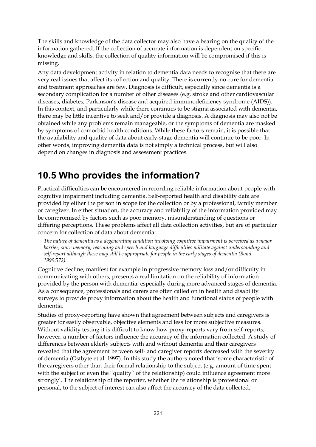The skills and knowledge of the data collector may also have a bearing on the quality of the information gathered. If the collection of accurate information is dependent on specific knowledge and skills, the collection of quality information will be compromised if this is missing.

Any data development activity in relation to dementia data needs to recognise that there are very real issues that affect its collection and quality. There is currently no cure for dementia and treatment approaches are few. Diagnosis is difficult, especially since dementia is a secondary complication for a number of other diseases (e.g. stroke and other cardiovascular diseases, diabetes, Parkinson's disease and acquired immunodeficiency syndrome (AIDS)). In this context, and particularly while there continues to be stigma associated with dementia, there may be little incentive to seek and/or provide a diagnosis. A diagnosis may also not be obtained while any problems remain manageable, or the symptoms of dementia are masked by symptoms of comorbid health conditions. While these factors remain, it is possible that the availability and quality of data about early-stage dementia will continue to be poor. In other words, improving dementia data is not simply a technical process, but will also depend on changes in diagnosis and assessment practices.

# **10.5 Who provides the information?**

Practical difficulties can be encountered in recording reliable information about people with cognitive impairment including dementia. Self-reported health and disability data are provided by either the person in scope for the collection or by a professional, family member or caregiver. In either situation, the accuracy and reliability of the information provided may be compromised by factors such as poor memory, misunderstanding of questions or differing perceptions. These problems affect all data collection activities, but are of particular concern for collection of data about dementia:

*The nature of dementia as a degenerating condition involving cognitive impairment is perceived as a major barrier, since memory, reasoning and speech and language difficulties militate against understanding and self-report although these may still be appropriate for people in the early stages of dementia (Bond 1999:572).* 

Cognitive decline, manifest for example in progressive memory loss and/or difficulty in communicating with others, presents a real limitation on the reliability of information provided by the person with dementia, especially during more advanced stages of dementia. As a consequence, professionals and carers are often called on in health and disability surveys to provide proxy information about the health and functional status of people with dementia.

Studies of proxy-reporting have shown that agreement between subjects and caregivers is greater for easily observable, objective elements and less for more subjective measures. Without validity testing it is difficult to know how proxy-reports vary from self-reports; however, a number of factors influence the accuracy of the information collected. A study of differences between elderly subjects with and without dementia and their caregivers revealed that the agreement between self- and caregiver reports decreased with the severity of dementia (Ostbyte et al. 1997). In this study the authors noted that 'some characteristic of the caregivers other than their formal relationship to the subject (e.g. amount of time spent with the subject or even the "quality" of the relationship) could influence agreement more strongly'. The relationship of the reporter, whether the relationship is professional or personal, to the subject of interest can also affect the accuracy of the data collected.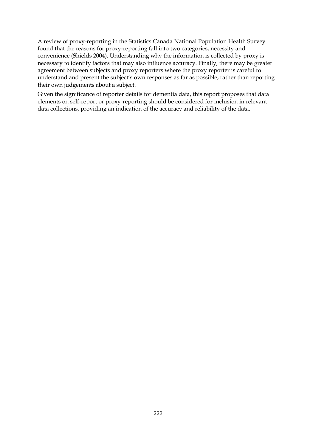A review of proxy-reporting in the Statistics Canada National Population Health Survey found that the reasons for proxy-reporting fall into two categories, necessity and convenience (Shields 2004). Understanding why the information is collected by proxy is necessary to identify factors that may also influence accuracy. Finally, there may be greater agreement between subjects and proxy reporters where the proxy reporter is careful to understand and present the subject's own responses as far as possible, rather than reporting their own judgements about a subject.

Given the significance of reporter details for dementia data, this report proposes that data elements on self-report or proxy-reporting should be considered for inclusion in relevant data collections, providing an indication of the accuracy and reliability of the data.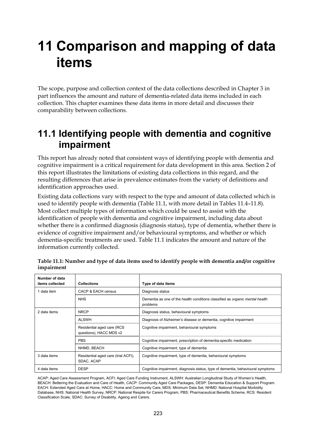# **11 Comparison and mapping of data items**

The scope, purpose and collection context of the data collections described in Chapter 3 in part influences the amount and nature of dementia-related data items included in each collection. This chapter examines these data items in more detail and discusses their comparability between collections.

## **11.1 Identifying people with dementia and cognitive impairment**

This report has already noted that consistent ways of identifying people with dementia and cognitive impairment is a critical requirement for data development in this area. Section 2 of this report illustrates the limitations of existing data collections in this regard, and the resulting differences that arise in prevalence estimates from the variety of definitions and identification approaches used.

Existing data collections vary with respect to the type and amount of data collected which is used to identify people with dementia (Table 11.1, with more detail in Tables 11.4–11.8). Most collect multiple types of information which could be used to assist with the identification of people with dementia and cognitive impairment, including data about whether there is a confirmed diagnosis (diagnosis status), type of dementia, whether there is evidence of cognitive impairment and/or behavioural symptoms, and whether or which dementia-specific treatments are used. Table 11.1 indicates the amount and nature of the information currently collected.

| Number of data<br>items collected | <b>Collections</b>                                    | Type of data items                                                                              |
|-----------------------------------|-------------------------------------------------------|-------------------------------------------------------------------------------------------------|
| 1 data item                       | CACP & EACH census                                    | Diagnosis status                                                                                |
|                                   | <b>NHS</b>                                            | Dementia as one of the health conditions classified as <i>organic mental health</i><br>problems |
| 2 data items                      | <b>NRCP</b>                                           | Diagnosis status, behavioural symptoms                                                          |
|                                   | <b>ALSWH</b>                                          | Diagnosis of Alzheimer's disease or dementia, cognitive impairment                              |
|                                   | Residential aged care (RCS<br>questions), HACC MDS v2 | Cognitive impairment, behavioural symptoms                                                      |
|                                   | <b>PBS</b>                                            | Cognitive impairment, prescription of dementia-specific medication                              |
|                                   | NHMD, BEACH                                           | Cognitive impairment, type of dementia                                                          |
| 3 data items                      | Residential aged care (trial ACFI),<br>SDAC, ACAP     | Cognitive impairment, type of dementia, behavioural symptoms                                    |
| 4 data items                      | <b>DESP</b>                                           | Cognitive impairment, diagnosis status, type of dementia, behavioural symptoms                  |

|            | Table 11.1: Number and type of data items used to identify people with dementia and/or cognitive |  |  |  |
|------------|--------------------------------------------------------------------------------------------------|--|--|--|
| impairment |                                                                                                  |  |  |  |

ACAP: Aged Care Assessment Program, ACFI: Aged Care Funding Instrument, ALSWH: Australian Longitudinal Study of Women's Health, BEACH: Bettering the Evaluation and Care of Health, CACP: Community Aged Care Packages, DESP: Dementia Education & Support Program. EACH: Extended Aged Care at Home, HACC: Home and Community Care, MDS: Minimum Data Set, NHMD: National Hospital Morbidity Database, NHS: National Health Survey, NRCP: National Respite for Carers Program, PBS: Pharmaceutical Benefits Scheme, RCS: Resident Classification Scale, SDAC: Survey of Disability, Ageing and Carers.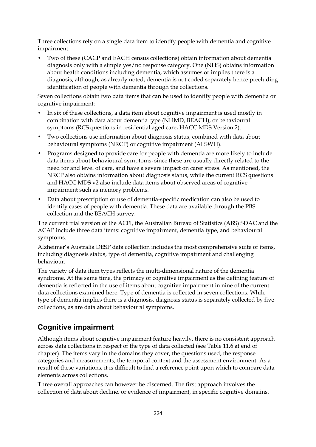Three collections rely on a single data item to identify people with dementia and cognitive impairment:

• Two of these (CACP and EACH census collections) obtain information about dementia diagnosis only with a simple yes/no response category. One (NHS) obtains information about health conditions including dementia, which assumes or implies there is a diagnosis, although, as already noted, dementia is not coded separately hence precluding identification of people with dementia through the collections.

Seven collections obtain two data items that can be used to identify people with dementia or cognitive impairment:

- In six of these collections, a data item about cognitive impairment is used mostly in combination with data about dementia type (NHMD, BEACH), or behavioural symptoms (RCS questions in residential aged care, HACC MDS Version 2).
- Two collections use information about diagnosis status, combined with data about behavioural symptoms (NRCP) or cognitive impairment (ALSWH).
- Programs designed to provide care for people with dementia are more likely to include data items about behavioural symptoms, since these are usually directly related to the need for and level of care, and have a severe impact on carer stress. As mentioned, the NRCP also obtains information about diagnosis status, while the current RCS questions and HACC MDS v2 also include data items about observed areas of cognitive impairment such as memory problems.
- Data about prescription or use of dementia-specific medication can also be used to identify cases of people with dementia. These data are available through the PBS collection and the BEACH survey.

The current trial version of the ACFI, the Australian Bureau of Statistics (ABS) SDAC and the ACAP include three data items: cognitive impairment, dementia type, and behavioural symptoms.

Alzheimer's Australia DESP data collection includes the most comprehensive suite of items, including diagnosis status, type of dementia, cognitive impairment and challenging behaviour.

The variety of data item types reflects the multi-dimensional nature of the dementia syndrome. At the same time, the primacy of cognitive impairment as the defining feature of dementia is reflected in the use of items about cognitive impairment in nine of the current data collections examined here. Type of dementia is collected in seven collections. While type of dementia implies there is a diagnosis, diagnosis status is separately collected by five collections, as are data about behavioural symptoms.

## **Cognitive impairment**

Although items about cognitive impairment feature heavily, there is no consistent approach across data collections in respect of the type of data collected (see Table 11.6 at end of chapter). The items vary in the domains they cover, the questions used, the response categories and measurements, the temporal context and the assessment environment. As a result of these variations, it is difficult to find a reference point upon which to compare data elements across collections.

Three overall approaches can however be discerned. The first approach involves the collection of data about decline, or evidence of impairment, in specific cognitive domains.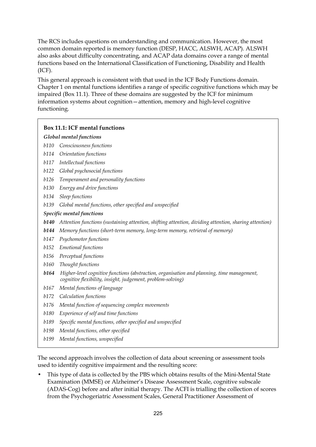The RCS includes questions on understanding and communication. However, the most common domain reported is memory function (DESP, HACC, ALSWH, ACAP). ALSWH also asks about difficulty concentrating, and ACAP data domains cover a range of mental functions based on the International Classification of Functioning, Disability and Health (ICF).

This general approach is consistent with that used in the ICF Body Functions domain. Chapter 1 on mental functions identifies a range of specific cognitive functions which may be impaired (Box 11.1). Three of these domains are suggested by the ICF for minimum information systems about cognition—attention, memory and high-level cognitive functioning.

## **Box 11.1: ICF mental functions**

#### *Global mental functions*

- *b110 Consciousness functions*
- *b114 Orientation functions*
- *b117 Intellectual functions*
- *b122 Global psychosocial functions*
- *b126 Temperament and personality functions*
- *b130 Energy and drive functions*
- *b134 Sleep functions*
- *b139 Global mental functions, other specified and unspecified*

#### *Specific mental functions*

- *b140 Attention functions (sustaining attention, shifting attention, dividing attention, sharing attention)*
- *b144 Memory functions (short-term memory, long-term memory, retrieval of memory)*
- *b147 Psychomotor functions*
- *b152 Emotional functions*
- *b156 Perceptual functions*
- *b160 Thought functions*
- *b164 Higher-level cognitive functions (abstraction, organisation and planning, time management, cognitive flexibility, insight, judgement, problem-solving)*
- *b167 Mental functions of language*
- *b172 Calculation functions*
- *b176 Mental function of sequencing complex movements*
- *b180 Experience of self and time functions*
- *b189 Specific mental functions, other specified and unspecified*
- *b198 Mental functions, other specified*
- *b199 Mental functions, unspecified*

The second approach involves the collection of data about screening or assessment tools used to identify cognitive impairment and the resulting score:

• This type of data is collected by the PBS which obtains results of the Mini-Mental State Examination (MMSE) or Alzheimer's Disease Assessment Scale, cognitive subscale (ADAS-Cog) before and after initial therapy. The ACFI is trialling the collection of scores from the Psychogeriatric Assessment Scales, General Practitioner Assessment of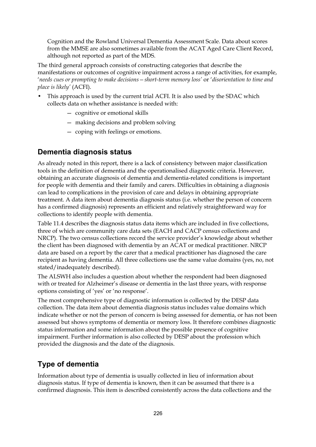Cognition and the Rowland Universal Dementia Assessment Scale. Data about scores from the MMSE are also sometimes available from the ACAT Aged Care Client Record, although not reported as part of the MDS.

The third general approach consists of constructing categories that describe the manifestations or outcomes of cognitive impairment across a range of activities, for example, '*needs cues or prompting to make decisions—short-term memory loss'* or '*disorientation to time and place is likely'* (ACFI).

- This approach is used by the current trial ACFI. It is also used by the SDAC which collects data on whether assistance is needed with:
	- cognitive or emotional skills
	- making decisions and problem solving
	- coping with feelings or emotions.

## **Dementia diagnosis status**

As already noted in this report, there is a lack of consistency between major classification tools in the definition of dementia and the operationalised diagnostic criteria. However, obtaining an accurate diagnosis of dementia and dementia-related conditions is important for people with dementia and their family and carers. Difficulties in obtaining a diagnosis can lead to complications in the provision of care and delays in obtaining appropriate treatment. A data item about dementia diagnosis status (i.e. whether the person of concern has a confirmed diagnosis) represents an efficient and relatively straightforward way for collections to identify people with dementia.

Table 11.4 describes the diagnosis status data items which are included in five collections, three of which are community care data sets (EACH and CACP census collections and NRCP). The two census collections record the service provider's knowledge about whether the client has been diagnosed with dementia by an ACAT or medical practitioner. NRCP data are based on a report by the carer that a medical practitioner has diagnosed the care recipient as having dementia. All three collections use the same value domains (yes, no, not stated/inadequately described).

The ALSWH also includes a question about whether the respondent had been diagnosed with or treated for Alzheimer's disease or dementia in the last three years, with response options consisting of 'yes' or 'no response'.

The most comprehensive type of diagnostic information is collected by the DESP data collection. The data item about dementia diagnosis status includes value domains which indicate whether or not the person of concern is being assessed for dementia, or has not been assessed but shows symptoms of dementia or memory loss. It therefore combines diagnostic status information and some information about the possible presence of cognitive impairment. Further information is also collected by DESP about the profession which provided the diagnosis and the date of the diagnosis.

## **Type of dementia**

Information about type of dementia is usually collected in lieu of information about diagnosis status. If type of dementia is known, then it can be assumed that there is a confirmed diagnosis. This item is described consistently across the data collections and the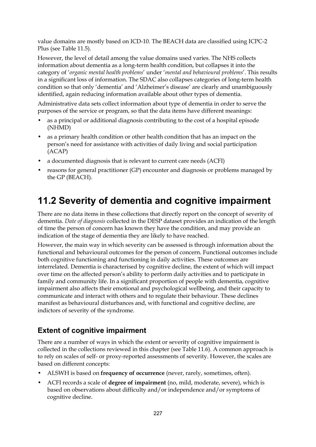value domains are mostly based on ICD-10. The BEACH data are classified using ICPC-2 Plus (see Table 11.5).

However, the level of detail among the value domains used varies. The NHS collects information about dementia as a long-term health condition, but collapses it into the category of '*organic mental health problems*' under '*mental and behavioural problems*'. This results in a significant loss of information. The SDAC also collapses categories of long-term health condition so that only 'dementia' and 'Alzheimer's disease' are clearly and unambiguously identified, again reducing information available about other types of dementia.

Administrative data sets collect information about type of dementia in order to serve the purposes of the service or program, so that the data items have different meanings:

- as a principal or additional diagnosis contributing to the cost of a hospital episode (NHMD)
- as a primary health condition or other health condition that has an impact on the person's need for assistance with activities of daily living and social participation (ACAP)
- a documented diagnosis that is relevant to current care needs (ACFI)
- reasons for general practitioner (GP) encounter and diagnosis or problems managed by the GP (BEACH).

# **11.2 Severity of dementia and cognitive impairment**

There are no data items in these collections that directly report on the concept of severity of dementia. *Date of diagnosis* collected in the DESP dataset provides an indication of the length of time the person of concern has known they have the condition, and may provide an indication of the stage of dementia they are likely to have reached.

However, the main way in which severity can be assessed is through information about the functional and behavioural outcomes for the person of concern. Functional outcomes include both cognitive functioning and functioning in daily activities. These outcomes are interrelated. Dementia is characterised by cognitive decline, the extent of which will impact over time on the affected person's ability to perform daily activities and to participate in family and community life. In a significant proportion of people with dementia, cognitive impairment also affects their emotional and psychological wellbeing, and their capacity to communicate and interact with others and to regulate their behaviour. These declines manifest as behavioural disturbances and, with functional and cognitive decline, are indictors of severity of the syndrome.

## **Extent of cognitive impairment**

There are a number of ways in which the extent or severity of cognitive impairment is collected in the collections reviewed in this chapter (see Table 11.6). A common approach is to rely on scales of self- or proxy-reported assessments of severity. However, the scales are based on different concepts:

- ALSWH is based on **frequency of occurrence** (never, rarely, sometimes, often).
- ACFI records a scale of **degree of impairment** (no, mild, moderate, severe), which is based on observations about difficulty and/or independence and/or symptoms of cognitive decline.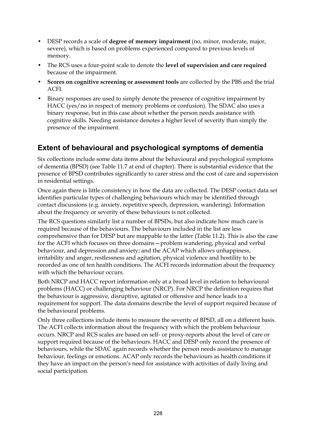- DESP records a scale of **degree of memory impairment** (no, minor, moderate, major, severe), which is based on problems experienced compared to previous levels of memory.
- The RCS uses a four-point scale to denote the **level of supervision and care required** because of the impairment.
- **Scores on cognitive screening or assessment tools** are collected by the PBS and the trial ACFI.
- Binary responses are used to simply denote the presence of cognitive impairment by HACC (yes/no in respect of memory problems or confusion). The SDAC also uses a binary response, but in this case about whether the person needs assistance with cognitive skills. Needing assistance denotes a higher level of severity than simply the presence of the impairment.

## **Extent of behavioural and psychological symptoms of dementia**

Six collections include some data items about the behavioural and psychological symptoms of dementia (BPSD) (see Table 11.7 at end of chapter). There is substantial evidence that the presence of BPSD contributes significantly to carer stress and the cost of care and supervision in residential settings.

Once again there is little consistency in how the data are collected. The DESP contact data set identifies particular types of challenging behaviours which may be identified through contact discussions (e.g. anxiety, repetitive speech, depression, wandering). Information about the frequency or severity of these behaviours is not collected.

The RCS questions similarly list a number of BPSDs, but also indicate how much care is required because of the behaviours. The behaviours included in the list are less comprehensive than for DESP but are mappable to the latter (Table 11.2). This is also the case for the ACFI which focuses on three domains—problem wandering, physical and verbal behaviour, and depression and anxiety; and the ACAP which allows unhappiness, irritability and anger, restlessness and agitation, physical violence and hostility to be recorded as one of ten health conditions. The ACFI records information about the frequency with which the behaviour occurs.

Both NRCP and HACC report information only at a broad level in relation to behavioural problems (HACC) or challenging behaviour (NRCP). For NRCP the definition requires that the behaviour is aggressive, disruptive, agitated or offensive and hence leads to a requirement for support. The data domains describe the level of support required because of the behavioural problems.

Only three collections include items to measure the severity of BPSD, all on a different basis. The ACFI collects information about the frequency with which the problem behaviour occurs. NRCP and RCS scales are based on self- or proxy-reports about the level of care or support required because of the behaviours. HACC and DESP only record the presence of behaviours, while the SDAC again records whether the person needs assistance to manage behaviour, feelings or emotions. ACAP only records the behaviours as health conditions if they have an impact on the person's need for assistance with activities of daily living and social participation.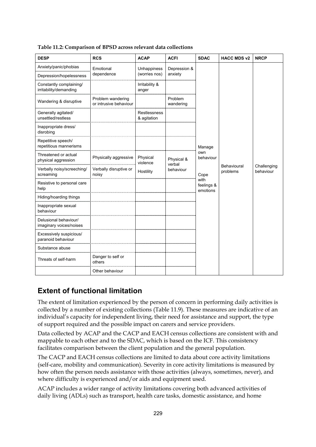| <b>DESP</b>                                       | <b>RCS</b>                                  | <b>ACAP</b>                 | <b>ACFI</b>          | <b>SDAC</b>                    | <b>HACC MDS v2</b>      | <b>NRCP</b>              |
|---------------------------------------------------|---------------------------------------------|-----------------------------|----------------------|--------------------------------|-------------------------|--------------------------|
| Anxiety/panic/phobias                             | Emotional                                   | Unhappiness                 | Depression &         |                                |                         |                          |
| Depression/hopelessness                           | dependence                                  | (worries nos)               | anxiety              |                                |                         |                          |
| Constantly complaining/<br>irritability/demanding |                                             | Irritability &<br>anger     |                      |                                |                         |                          |
| Wandering & disruptive                            | Problem wandering<br>or intrusive behaviour |                             | Problem<br>wandering |                                |                         |                          |
| Generally agitated/<br>unsettled/restless         |                                             | Restlessness<br>& agitation |                      |                                |                         |                          |
| Inappropriate dress/<br>disrobing                 |                                             |                             |                      |                                |                         |                          |
| Repetitive speech/<br>repetitious mannerisms      |                                             |                             |                      | Manage                         |                         |                          |
| Threatened or actual<br>physical aggression       | Physically aggressive                       | Physical<br>violence        | Physical &<br>verbal | own<br>behaviour               |                         |                          |
| Verbally noisy/screeching/<br>screaming           | Verbally disruptive or<br>noisy             | Hostility                   | behaviour            | Cope                           | Behavioural<br>problems | Challenging<br>behaviour |
| Resistive to personal care<br>help                |                                             |                             |                      | with<br>feelings &<br>emotions |                         |                          |
| Hiding/hoarding things                            |                                             |                             |                      |                                |                         |                          |
| Inappropriate sexual<br>behaviour                 |                                             |                             |                      |                                |                         |                          |
| Delusional behaviour/<br>imaginary voices/noises  |                                             |                             |                      |                                |                         |                          |
| Excessively suspicious/<br>paranoid behaviour     |                                             |                             |                      |                                |                         |                          |
| Substance abuse                                   |                                             |                             |                      |                                |                         |                          |
| Threats of self-harm                              | Danger to self or<br>others                 |                             |                      |                                |                         |                          |
|                                                   | Other behaviour                             |                             |                      |                                |                         |                          |

**Table 11.2: Comparison of BPSD across relevant data collections** 

## **Extent of functional limitation**

The extent of limitation experienced by the person of concern in performing daily activities is collected by a number of existing collections (Table 11.9). These measures are indicative of an individual's capacity for independent living, their need for assistance and support, the type of support required and the possible impact on carers and service providers.

Data collected by ACAP and the CACP and EACH census collections are consistent with and mappable to each other and to the SDAC, which is based on the ICF. This consistency facilitates comparison between the client population and the general population.

The CACP and EACH census collections are limited to data about core activity limitations (self-care, mobility and communication). Severity in core activity limitations is measured by how often the person needs assistance with those activities (always, sometimes, never), and where difficulty is experienced and/or aids and equipment used.

ACAP includes a wider range of activity limitations covering both advanced activities of daily living (ADLs) such as transport, health care tasks, domestic assistance, and home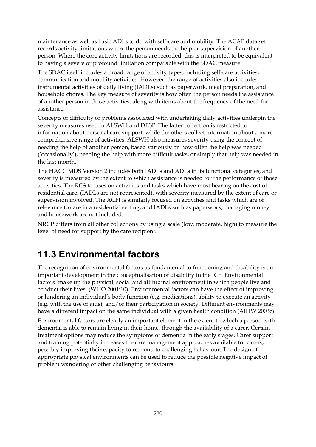maintenance as well as basic ADLs to do with self-care and mobility. The ACAP data set records activity limitations where the person needs the help or supervision of another person. Where the core activity limitations are recorded, this is interpreted to be equivalent to having a severe or profound limitation comparable with the SDAC measure.

The SDAC itself includes a broad range of activity types, including self-care activities, communication and mobility activities. However, the range of activities also includes instrumental activities of daily living (IADLs) such as paperwork, meal preparation, and household chores. The key measure of severity is how often the person needs the assistance of another person in those activities, along with items about the frequency of the need for assistance.

Concepts of difficulty or problems associated with undertaking daily activities underpin the severity measures used in ALSWH and DESP. The latter collection is restricted to information about personal care support, while the others collect information about a more comprehensive range of activities. ALSWH also measures severity using the concept of needing the help of another person, based variously on how often the help was needed ('occasionally'), needing the help with more difficult tasks, or simply that help was needed in the last month.

The HACC MDS Version 2 includes both IADLs and ADLs in its functional categories, and severity is measured by the extent to which assistance is needed for the performance of those activities. The RCS focuses on activities and tasks which have most bearing on the cost of residential care, (IADLs are not represented), with severity measured by the extent of care or supervision involved. The ACFI is similarly focused on activities and tasks which are of relevance to care in a residential setting, and IADLs such as paperwork, managing money and housework are not included.

NRCP differs from all other collections by using a scale (low, moderate, high) to measure the level of need for support by the care recipient.

# **11.3 Environmental factors**

The recognition of environmental factors as fundamental to functioning and disability is an important development in the conceptualisation of disability in the ICF. Environmental factors 'make up the physical, social and attitudinal environment in which people live and conduct their lives' (WHO 2001:10). Environmental factors can have the effect of improving or hindering an individual's body function (e.g. medications), ability to execute an activity (e.g. with the use of aids), and/or their participation in society. Different environments may have a different impact on the same individual with a given health condition (AIHW 2003c).

Environmental factors are clearly an important element in the extent to which a person with dementia is able to remain living in their home, through the availability of a carer. Certain treatment options may reduce the symptoms of dementia in the early stages. Carer support and training potentially increases the care management approaches available for carers, possibly improving their capacity to respond to challenging behaviour. The design of appropriate physical environments can be used to reduce the possible negative impact of problem wandering or other challenging behaviours.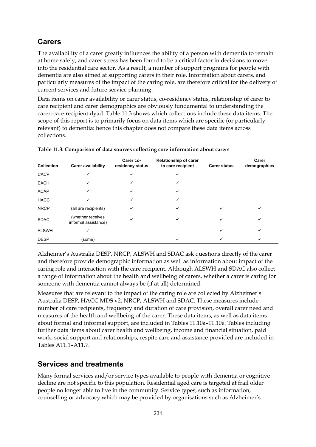## **Carers**

The availability of a carer greatly influences the ability of a person with dementia to remain at home safely, and carer stress has been found to be a critical factor in decisions to move into the residential care sector. As a result, a number of support programs for people with dementia are also aimed at supporting carers in their role. Information about carers, and particularly measures of the impact of the caring role, are therefore critical for the delivery of current services and future service planning.

Data items on carer availability or carer status, co-residency status, relationship of carer to care recipient and carer demographics are obviously fundamental to understanding the carer–care recipient dyad. Table 11.3 shows which collections include these data items. The scope of this report is to primarily focus on data items which are specific (or particularly relevant) to dementia: hence this chapter does not compare these data items across collections.

| <b>Collection</b> | <b>Carer availability</b>                 | Carer co-<br>residency status | <b>Relationship of carer</b><br>to care recipient | <b>Carer status</b> | Carer<br>demographics |
|-------------------|-------------------------------------------|-------------------------------|---------------------------------------------------|---------------------|-----------------------|
| CACP              | ✓                                         | ✓                             |                                                   |                     |                       |
| <b>EACH</b>       | ✓                                         | ✓                             | ✓                                                 |                     |                       |
| <b>ACAP</b>       | ✓                                         | ✓                             | ✓                                                 |                     |                       |
| <b>HACC</b>       |                                           |                               | ✓                                                 |                     |                       |
| <b>NRCP</b>       | (all are recipients)                      | ✓                             | ✓                                                 | ✓                   |                       |
| <b>SDAC</b>       | (whether receives<br>informal assistance) |                               |                                                   |                     |                       |
| <b>ALSWH</b>      | ✓                                         |                               |                                                   | ✓                   | ✓                     |
| <b>DESP</b>       | (some)                                    |                               |                                                   |                     |                       |

**Table 11.3: Comparison of data sources collecting core information about carers** 

Alzheimer's Australia DESP, NRCP, ALSWH and SDAC ask questions directly of the carer and therefore provide demographic information as well as information about impact of the caring role and interaction with the care recipient. Although ALSWH and SDAC also collect a range of information about the health and wellbeing of carers, whether a carer is caring for someone with dementia cannot always be (if at all) determined.

Measures that are relevant to the impact of the caring role are collected by Alzheimer's Australia DESP, HACC MDS v2, NRCP, ALSWH and SDAC. These measures include number of care recipients, frequency and duration of care provision, overall carer need and measures of the health and wellbeing of the carer. These data items, as well as data items about formal and informal support, are included in Tables 11.10a–11.10e. Tables including further data items about carer health and wellbeing, income and financial situation, paid work, social support and relationships, respite care and assistance provided are included in Tables A11.1–A11.7.

## **Services and treatments**

Many formal services and/or service types available to people with dementia or cognitive decline are not specific to this population. Residential aged care is targeted at frail older people no longer able to live in the community. Service types, such as information, counselling or advocacy which may be provided by organisations such as Alzheimer's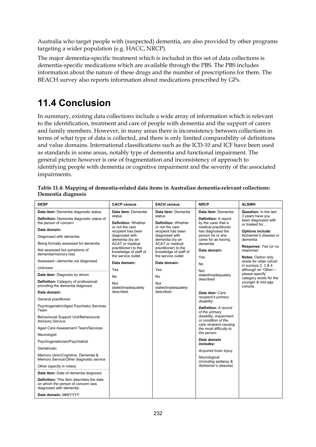Australia who target people with (suspected) dementia, are also provided by other programs targeting a wider population (e.g. HACC, NRCP).

The major dementia-specific treatment which is included in this set of data collections is dementia-specific medications which are available through the PBS. The PBS includes information about the nature of these drugs and the number of prescriptions for them. The BEACH survey also reports information about medications prescribed by GPs.

# **11.4 Conclusion**

In summary, existing data collections include a wide array of information which is relevant to the identification, treatment and care of people with dementia and the support of carers and family members. However, in many areas there is inconsistency between collections in terms of what type of data is collected, and there is only limited comparability of definitions and value domains. International classifications such as the ICD-10 and ICF have been used as standards in some areas, notably type of dementia and functional impairment. The general picture however is one of fragmentation and inconsistency of approach to identifying people with dementia or cognitive impairment and the severity of the associated impairments.

| <b>DESP</b>                                                                                                      | <b>CACP census</b>                                                  | <b>EACH census</b>                                                  | <b>NRCP</b>                                                             | <b>ALSWH</b>                                              |
|------------------------------------------------------------------------------------------------------------------|---------------------------------------------------------------------|---------------------------------------------------------------------|-------------------------------------------------------------------------|-----------------------------------------------------------|
| Data item: Dementia diagnostic status                                                                            | Data item: Dementia                                                 | Data item: Dementia                                                 | Data item: Dementia                                                     | Question: In the last                                     |
| Definition: Dementia diagnostic status of<br>the person of concern                                               | status<br><b>Definition: Whether</b>                                | status<br><b>Definition: Whether</b>                                | <b>Definition: A report</b><br>by the carer that a                      | 3 years have you<br>been diagnosed with<br>or treated for |
| Data domain:                                                                                                     | or not the care<br>recipient has been                               | or not the care<br>recipient has been                               | medical practitioner<br>has diagnosed the                               | <b>Options include:</b>                                   |
| Diagnosed with dementia                                                                                          | diagnosed with<br>dementia (by an                                   | diagnosed with<br>dementia (by an                                   | person he or she<br>cares for as having                                 | Alzheimer's disease or<br>dementia                        |
| Being formally assessed for dementia                                                                             | <b>ACAT or medical</b>                                              | <b>ACAT</b> or medical                                              | dementia.                                                               | Response: Yes (or no                                      |
| Not assessed but symptoms of<br>dementia/memory loss                                                             | practitioner) to the<br>knowledge of staff of<br>the service outlet | practitioner) to the<br>knowledge of staff of<br>the service outlet | Data domain:<br>Yes                                                     | response)<br><b>Notes: Option only</b>                    |
| Assessed-dementia not diagnosed                                                                                  | Data domain:                                                        | Data domain:                                                        | No                                                                      | exists for older cohort                                   |
| Unknown                                                                                                          | Yes                                                                 | Yes                                                                 | Not                                                                     | in surveys $2, 3, 8, 4$<br>although an 'Other-            |
| Data item: Diagnosis by whom                                                                                     | No                                                                  | No                                                                  | stated/inadequately                                                     | please specify'<br>category exists for the                |
| <b>Definition:</b> Category of professional<br>providing the dementia diagnosis                                  | Not<br>stated/inadequately                                          | Not<br>stated/inadequately                                          | described                                                               | younger & mid-age<br>cohorts                              |
| Data domain:                                                                                                     | described                                                           | described                                                           | Data item: Care                                                         |                                                           |
| General practitioner                                                                                             |                                                                     |                                                                     | recipient's primary<br>disability                                       |                                                           |
| Psychogeriatric/Aged Psychiatry Services<br>Team                                                                 |                                                                     |                                                                     | <b>Definition: A record</b><br>of the primary                           |                                                           |
| Behavioural Support Unit/Behavioural<br><b>Advisory Service</b>                                                  |                                                                     |                                                                     | disability, impairment<br>or condition of the<br>care recipient causing |                                                           |
| Aged Care Assessment Team/Services                                                                               |                                                                     |                                                                     | the most difficulty to                                                  |                                                           |
| Neurologist                                                                                                      |                                                                     |                                                                     | the person.                                                             |                                                           |
| Psychogeriatrician/Psychiatrist                                                                                  |                                                                     |                                                                     | Data domain<br>includes:                                                |                                                           |
| Geriatrician                                                                                                     |                                                                     |                                                                     | Acquired brain injury                                                   |                                                           |
| Memory clinic/Cognitive, Dementia &<br>Memory Service/Other diagnostic service                                   |                                                                     |                                                                     | Neurological<br>(including epilepsy &                                   |                                                           |
| Other (specify in notes)                                                                                         |                                                                     |                                                                     | Alzheimer's disease)                                                    |                                                           |
| Data item: Date of dementia diagnosis                                                                            |                                                                     |                                                                     |                                                                         |                                                           |
| <b>Definition:</b> This item describes the date<br>on which the person of concern was<br>diagnosed with dementia |                                                                     |                                                                     |                                                                         |                                                           |
| Data domain: MM/YYYY                                                                                             |                                                                     |                                                                     |                                                                         |                                                           |

| Table 11.4: Mapping of dementia-related data items in Australian dementia-relevant collections: |  |
|-------------------------------------------------------------------------------------------------|--|
| Dementia diagnosis                                                                              |  |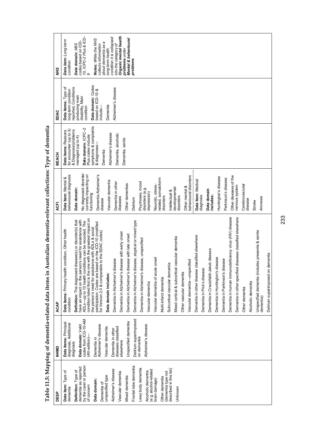| ÑМ          | Organic mental health<br>10, ICPC-2 Plus & ICD-<br>condition it is collapsed<br>Mental & behavioural<br>Notes: While the NHS<br>Data item: Long-term<br>codes based on ICD-<br>about dementia as a<br>Data domain: ABS<br>collects information<br>into the category of<br>problems under<br>long-term health<br>problems<br>condition                                                                                                                                                                                                                                                                                                                                                                                                                                                                                                                                                                                                                                                                                                                                                                                                                                                                                                                                                                                                                                                                                                                                                           |
|-------------|-------------------------------------------------------------------------------------------------------------------------------------------------------------------------------------------------------------------------------------------------------------------------------------------------------------------------------------------------------------------------------------------------------------------------------------------------------------------------------------------------------------------------------------------------------------------------------------------------------------------------------------------------------------------------------------------------------------------------------------------------------------------------------------------------------------------------------------------------------------------------------------------------------------------------------------------------------------------------------------------------------------------------------------------------------------------------------------------------------------------------------------------------------------------------------------------------------------------------------------------------------------------------------------------------------------------------------------------------------------------------------------------------------------------------------------------------------------------------------------------------|
| <b>SDAC</b> | Data domain: Codes<br>reported, Conditions<br>Alzheimer's disease<br>Data items: Type of<br>long-term condition<br>based on ICD-10 &<br>producing main<br>disability, Main<br>condition<br>Dementia<br>include–                                                                                                                                                                                                                                                                                                                                                                                                                                                                                                                                                                                                                                                                                                                                                                                                                                                                                                                                                                                                                                                                                                                                                                                                                                                                                 |
| BEACH       | symptoms & complaints<br>Data domain: ICPC-2<br>& Diagnosis/problems<br>for encounter (up to 3)<br>Data items: Reasons<br>Alzheimer's disease<br>Dementia, alcoholic<br>Plus codes include<br>managed (up to 4)<br>Dementia, senile<br>& diagnoses-<br>Dementia                                                                                                                                                                                                                                                                                                                                                                                                                                                                                                                                                                                                                                                                                                                                                                                                                                                                                                                                                                                                                                                                                                                                                                                                                                 |
| <b>ACFI</b> | No diagnosed disorder<br>Dementia Alzheimer's<br>behavioural diagnosis<br>currently impacting on<br>behavioural disorders<br>Other diseases of the<br>Huntington's disease<br>Data item: Mental &<br>Parkinson's disease<br>related, somatoform<br>Data item: Medical<br>Vascular dementia<br>Psychoses, mood<br>Dementia in other<br>Other dementias<br>Cerebrovascular<br>Neurotic, stress-<br>nervous system<br>Other mental &<br>developmental<br>Data domain:<br>disorders (e.g.<br>Data domain<br>Intellectual &<br>depression)<br>functioning<br>includes:<br>diagnosis<br>disorders<br>disorders<br>diseases<br>Amnesia<br>Delirium<br>disease<br>disease<br>Stroke                                                                                                                                                                                                                                                                                                                                                                                                                                                                                                                                                                                                                                                                                                                                                                                                                     |
| <b>ACAP</b> | Dementia in human immunodeficiency virus (HIV) disease<br>ied diseases classified elsewhere<br>condition listed first is the one with the greatest impact on<br>Definition: The diagnosed disease(s) or disorder(s) that<br>have an impact on the person's need for assistance with<br>disease, atypical or mixed type<br>ADLs-up to 10 health conditions can be recorded. The<br>participation. Codes are based on the ICD-10 (modified<br>for Version 2.0 & comparable to the SDAC codes)<br>the person's need for assistance with ADLs & social<br>Data items: Primary health condition, Other health<br>Unspecified dementia (includes presenile & senile<br>disease with early onset<br>disease with late onset<br>Dementia in other disease classified elsewhere<br>Mixed cortical & subcortical vascular dementia<br>disease, unspecified<br>Dementia in Creutzfeldt-Jakob disease<br>Delirium superimposed on dementia<br>Dementia in Huntington's disease<br>Vascular dementia of acute onset<br>disease<br>disease<br>Vascular dementia-unspecified<br>Subcortical vascular dementia<br>Dementia in Pick's disease<br>Data domain includes:<br>Dementia in Alzheimer's<br>Dementia in Alzheimer's<br>Dementia in Alzheimer's<br>Dementia in Alzheimer's<br>Dementia in Alzheimer's<br>Other vascular dementia<br>Dementia in Parkinson's<br>Dementia in other specif<br>Multi-infarct dementia<br>Alcoholic dementia<br>Vascular dementia<br>Other dementia<br>dementia)<br>condition |
| <b>NHMD</b> | codes from ICD-10-AM<br>Delirium superimposed<br>on dementia<br>Unspecified dementia<br>Data items: Principal<br>diagnosis, Additional<br>Alzheimer's disease<br>Data domain: Valid<br>Alzheimer's disease<br>Vascular dementia<br>diseases classified<br>Dementia in other<br>$(4th$ edition)<br>Dementia in<br>elsewhere<br>diagnosis                                                                                                                                                                                                                                                                                                                                                                                                                                                                                                                                                                                                                                                                                                                                                                                                                                                                                                                                                                                                                                                                                                                                                         |
| <b>DESP</b> | by the carer or person<br>Frontal lobe dementia<br>dementia as reported<br>Lewy body dementia<br>(dementia type not<br>described in this list)<br>Alzheimer's disease<br>(e.g. alcohol-related<br>Definition: Type of<br>Data item: Type of<br>Alcoholic dementia<br>Vascular dementia<br>unspecified type<br>Mixed dementia<br>Other dementia<br>brain damage)<br>Data domain:<br>Dementia of<br>of concern<br>dementia<br>Unknown                                                                                                                                                                                                                                                                                                                                                                                                                                                                                                                                                                                                                                                                                                                                                                                                                                                                                                                                                                                                                                                             |

Table 11.5: Mapping of dementia-related data items in Australian dementia-relevant collections: Type of dementia **Table 11.5: Mapping of dementia-related data items in Australian dementia-relevant collections: Type of dementia** 

233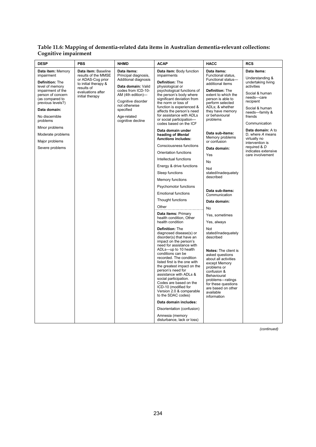#### **Table 11.6: Mapping of dementia-related data items in Australian dementia-relevant collections: Cognitive impairment**

| <b>DESP</b>                                                                                                                                                                                                                                                                       | <b>PBS</b>                                                                                                                                    | <b>NHMD</b>                                                                                                                                                                                                          | ACAP                                                                                                                                                                                                                                                                                                                                                                                                                                                                                                                                                                                                                                                                                                                                                                                                                                                                                                                                                                                                                                                                                                                                                                                                                                                                                   | HACC                                                                                                                                                                                                                                                                                                                                                                                                                                                                                                                                                                                                                                                                                                                                         | <b>RCS</b>                                                                                                                                                                                                                                                                                                             |
|-----------------------------------------------------------------------------------------------------------------------------------------------------------------------------------------------------------------------------------------------------------------------------------|-----------------------------------------------------------------------------------------------------------------------------------------------|----------------------------------------------------------------------------------------------------------------------------------------------------------------------------------------------------------------------|----------------------------------------------------------------------------------------------------------------------------------------------------------------------------------------------------------------------------------------------------------------------------------------------------------------------------------------------------------------------------------------------------------------------------------------------------------------------------------------------------------------------------------------------------------------------------------------------------------------------------------------------------------------------------------------------------------------------------------------------------------------------------------------------------------------------------------------------------------------------------------------------------------------------------------------------------------------------------------------------------------------------------------------------------------------------------------------------------------------------------------------------------------------------------------------------------------------------------------------------------------------------------------------|----------------------------------------------------------------------------------------------------------------------------------------------------------------------------------------------------------------------------------------------------------------------------------------------------------------------------------------------------------------------------------------------------------------------------------------------------------------------------------------------------------------------------------------------------------------------------------------------------------------------------------------------------------------------------------------------------------------------------------------------|------------------------------------------------------------------------------------------------------------------------------------------------------------------------------------------------------------------------------------------------------------------------------------------------------------------------|
| Data item: Memory<br>impairment<br>Definition: The<br>level of memory<br>impairment of the<br>person of concern<br>(as compared to<br>previous levels?)<br>Data domain:<br>No discernible<br>problems<br>Minor problems<br>Moderate problems<br>Major problems<br>Severe problems | Data item: Baseline<br>results of the MMSE<br>or ADAS-Cog prior<br>to initial therapy &<br>results of<br>evaluations after<br>initial therapy | Data items:<br>Principal diagnosis,<br>Additional diagnosis<br>Data domain: Valid<br>codes from ICD-10-<br>AM (4th edition)-<br>Cognitive disorder<br>not otherwise<br>specified<br>Age-related<br>cognitive decline | Data item: Body function<br>impairments<br>Definition: The<br>physiological or<br>psychological functions of<br>the person's body where<br>significant deviation from<br>the norm or loss of<br>function is experienced &<br>affects the person's need<br>for assistance with ADLs<br>or social participation-<br>codes based on the ICF<br>Data domain under<br>heading of Mental<br>functions includes:<br>Consciousness functions<br>Orientation functions<br>Intellectual functions<br>Energy & drive functions<br>Sleep functions<br><b>Memory functions</b><br>Psychomotor functions<br><b>Emotional functions</b><br>Thought functions<br>Other<br>Data items: Primary<br>health condition, Other<br>health condition<br>Definition: The<br>diagnosed disease(s) or<br>disorder(s) that have an<br>impact on the person's<br>need for assistance with<br>ADLs-up to 10 health<br>conditions can be<br>recorded. The condition<br>listed first is the one with<br>the greatest impact on the<br>person's need for<br>assistance with ADLs &<br>social participation.<br>Codes are based on the<br>ICD-10 (modified for<br>Version 2.0 & comparable<br>to the SDAC codes)<br>Data domain includes:<br>Disorientation (confusion)<br>Amnesia (memory<br>disturbance, lack or loss) | Data items:<br>Functional status,<br>Functional status-<br>additional items<br>Definition: The<br>extent to which the<br>person is able to<br>perform selected<br>ADLs; & whether<br>they have memory<br>or behavioural<br>problems<br>Data sub-items:<br>Memory problems<br>or confusion<br>Data domain:<br>Yes<br>No<br>Not<br>stated/inadequately<br>described<br>Data sub-items:<br>Communication<br>Data domain:<br>No<br>Yes, sometimes<br>Yes, always<br>Not<br>stated/inadequately<br>described<br><b>Notes:</b> The client is<br>asked questions<br>about all activities<br>except Memory<br>problems or<br>confusion &<br>Behavioural<br>problems-ratings<br>for these questions<br>are based on other<br>available<br>information | Data items:<br>Understanding &<br>undertaking living<br>activities<br>Social & human<br>needs-care<br>recipient<br>Social & human<br>needs-family &<br>friends<br>Communication<br>Data domain: A to<br>D, where A means<br>virtually no<br>intervention is<br>required & D<br>indicates extensive<br>care involvement |

*(continued)*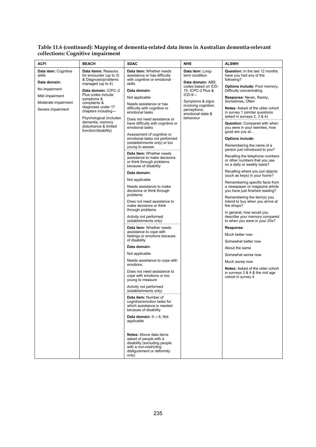#### **Table 11.6 (continued): Mapping of dementia-related data items in Australian dementia-relevant collections: Cognitive impairment**

| ACFI                                                                               | <b>BEACH</b>                                                                                                                             | <b>SDAC</b>                                                                                                                                                                                                                                                                                                                                                                                                                                                                                                                                                                                                                                                                                                                                                                                                                                                                                                                                                                                                                                                                                                                                         | <b>NHS</b>                                                                                                     | <b>ALSWH</b>                                                                                                                                                                                                                                                                                                                                                                                                                                                                                                                                                                                                                                                                                                                                                                                                                                                                                 |
|------------------------------------------------------------------------------------|------------------------------------------------------------------------------------------------------------------------------------------|-----------------------------------------------------------------------------------------------------------------------------------------------------------------------------------------------------------------------------------------------------------------------------------------------------------------------------------------------------------------------------------------------------------------------------------------------------------------------------------------------------------------------------------------------------------------------------------------------------------------------------------------------------------------------------------------------------------------------------------------------------------------------------------------------------------------------------------------------------------------------------------------------------------------------------------------------------------------------------------------------------------------------------------------------------------------------------------------------------------------------------------------------------|----------------------------------------------------------------------------------------------------------------|----------------------------------------------------------------------------------------------------------------------------------------------------------------------------------------------------------------------------------------------------------------------------------------------------------------------------------------------------------------------------------------------------------------------------------------------------------------------------------------------------------------------------------------------------------------------------------------------------------------------------------------------------------------------------------------------------------------------------------------------------------------------------------------------------------------------------------------------------------------------------------------------|
| Data item: Cognitive<br>skills<br>Data domain:<br>No impairment<br>Mild impairment | Data items: Reasons<br>for encounter (up to 3)<br>& Diagnosis/problems<br>managed (up to 4)<br>Data domain: ICPC-2<br>Plus codes include | Data item: Whether needs<br>assistance or has difficulty<br>with cognitive or emotional<br>skills<br>Data domain:                                                                                                                                                                                                                                                                                                                                                                                                                                                                                                                                                                                                                                                                                                                                                                                                                                                                                                                                                                                                                                   | Data item: Long-<br>term condition<br>Data domain: ABS<br>codes based on ICD-<br>10, ICPC-2 Plus &<br>$ICD-9-$ | <b>Question:</b> In the last 12 months<br>have you had any of the<br>following?<br><b>Options include: Poor memory,</b><br>Difficulty concentrating                                                                                                                                                                                                                                                                                                                                                                                                                                                                                                                                                                                                                                                                                                                                          |
| Moderate impairment<br>Severe impairment                                           | symptoms &<br>complaints &<br>diagnoses under 17<br>chapters including-                                                                  | Not applicable<br>Needs assistance or has<br>difficulty with cognitive or<br>emotional tasks                                                                                                                                                                                                                                                                                                                                                                                                                                                                                                                                                                                                                                                                                                                                                                                                                                                                                                                                                                                                                                                        | Symptoms & signs<br>involving cognition,<br>perceptions,                                                       | Response: Never, Rarely,<br>Sometimes, Often<br><b>Notes:</b> Asked of the older cohort<br>in survey 1 (similar questions                                                                                                                                                                                                                                                                                                                                                                                                                                                                                                                                                                                                                                                                                                                                                                    |
|                                                                                    | Psychological (includes<br>dementia, memory<br>disturbance & limited<br>function/disability)                                             | Does not need assistance or<br>have difficulty with cognitive or<br>emotional tasks<br>Assessment of cognitive or<br>emotional tasks not performed<br>(establishments only) or too<br>young to assess<br>Data item: Whether needs<br>assistance to make decisions<br>or think through problems<br>because of disability<br>Data domain:<br>Not applicable<br>Needs assistance to make<br>decisions or think through<br>problems<br>Does not need assistance to<br>make decisions or think<br>through problems<br>Activity not performed<br>(establishments only)<br>Data item: Whether needs<br>assistance to cope with<br>feelings or emotions because<br>of disability<br>Data domain:<br>Not applicable<br>Needs assistance to cope with<br>emotions<br>Does not need assistance to<br>cope with emotions or too<br>young to measure<br>Activity not performed<br>(establishments only)<br>Data item: Number of<br>cognitive/emotion tasks for<br>which assistance is needed<br>because of disability<br>Data domain: $0 \rightarrow 6$ , Not<br>applicable<br>Notes: Above data items<br>asked of people with a<br>disability (excluding people | emotional state &<br>behaviour                                                                                 | asked in surveys 2, 3 & 4)<br><b>Question:</b> Compared with when<br>you were in your twenties, how<br>good are you at<br>Options include:<br>Remembering the name of a<br>person just introduced to you?<br>Recalling the telephone numbers<br>or other numbers that you use<br>on a daily or weekly basis?<br>Recalling where you put objects<br>(such as keys) in your home?<br>Remembering specific facts from<br>a newspaper or magazine article<br>you have just finished reading?<br>Remembering the item(s) you<br>intend to buy when you arrive at<br>the shops?<br>In general, how would you<br>describe your memory compared<br>to when you were in your 20s?<br>Response:<br>Much better now<br>Somewhat better now<br>About the same<br>Somewhat worse now<br>Much worse now<br><b>Notes:</b> Asked of the older cohort<br>in surveys 3 & 4 & the mid age<br>cohort in survey 4 |
|                                                                                    |                                                                                                                                          | with a non-restricting<br>disfigurement or deformity<br>only)                                                                                                                                                                                                                                                                                                                                                                                                                                                                                                                                                                                                                                                                                                                                                                                                                                                                                                                                                                                                                                                                                       |                                                                                                                |                                                                                                                                                                                                                                                                                                                                                                                                                                                                                                                                                                                                                                                                                                                                                                                                                                                                                              |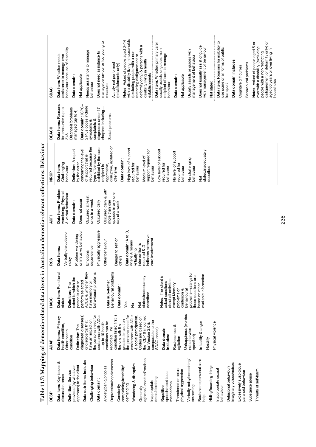Table 11.7: Mapping of dementia-related data items in Australian dementia-relevant collections: Behaviour **Table 11.7: Mapping of dementia-related data items in Australian dementia-relevant collections: Behaviour** 

236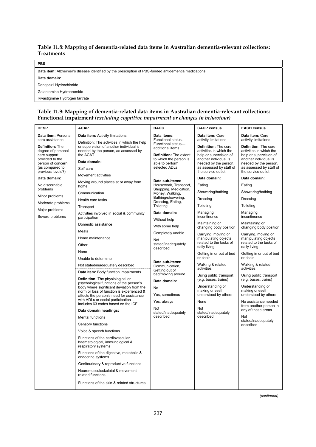#### **Table 11.8: Mapping of dementia-related data items in Australian dementia-relevant collections: Treatments**

| <b>PBS</b>                                                                                           |
|------------------------------------------------------------------------------------------------------|
| Data item: Alzheimer's disease identified by the prescription of PBS-funded antidementia medications |
| Data domain:                                                                                         |
| Donepezil Hydrochloride                                                                              |
| Galantamine Hydrobromide                                                                             |
| Rivastigmine Hydrogen tartrate                                                                       |

#### **Table 11.9: Mapping of dementia-related data items in Australian dementia-relevant collections: Functional impairment** *(excluding cognitive impairment or changes in behaviour)*

*(continued)*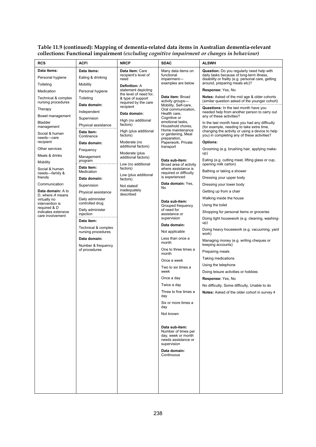| <b>RCS</b>                                                                                                                                                                                                                                                                                                                                                                                                                                                                 | ACFI                                                                                                                                                                                                                                                                                                                                                                                                                                                                                                             | <b>NRCP</b>                                                                                                                                                                                                                                                                                                                                                                                                                                                                  | <b>SDAC</b>                                                                                                                                                                                                                                                                                                                                                                                                                                                                                                                                                                                                                                                                                                                                                                                                | <b>ALSWH</b>                                                                                                                                                                                                                                                                                                                                                                                                                                                                                                                                                                                                                                                                                                                                                                                                                                                                                                                                                                                                                                                                                                                                                                                                                                                                                                                                                                                      |
|----------------------------------------------------------------------------------------------------------------------------------------------------------------------------------------------------------------------------------------------------------------------------------------------------------------------------------------------------------------------------------------------------------------------------------------------------------------------------|------------------------------------------------------------------------------------------------------------------------------------------------------------------------------------------------------------------------------------------------------------------------------------------------------------------------------------------------------------------------------------------------------------------------------------------------------------------------------------------------------------------|------------------------------------------------------------------------------------------------------------------------------------------------------------------------------------------------------------------------------------------------------------------------------------------------------------------------------------------------------------------------------------------------------------------------------------------------------------------------------|------------------------------------------------------------------------------------------------------------------------------------------------------------------------------------------------------------------------------------------------------------------------------------------------------------------------------------------------------------------------------------------------------------------------------------------------------------------------------------------------------------------------------------------------------------------------------------------------------------------------------------------------------------------------------------------------------------------------------------------------------------------------------------------------------------|---------------------------------------------------------------------------------------------------------------------------------------------------------------------------------------------------------------------------------------------------------------------------------------------------------------------------------------------------------------------------------------------------------------------------------------------------------------------------------------------------------------------------------------------------------------------------------------------------------------------------------------------------------------------------------------------------------------------------------------------------------------------------------------------------------------------------------------------------------------------------------------------------------------------------------------------------------------------------------------------------------------------------------------------------------------------------------------------------------------------------------------------------------------------------------------------------------------------------------------------------------------------------------------------------------------------------------------------------------------------------------------------------|
| Data items:<br>Personal hygiene<br>Toileting<br>Medication<br>Technical & complex<br>nursing procedures<br>Therapy<br>Bowel management<br><b>Bladder</b><br>management<br>Social & human<br>needs-care<br>recipient<br>Other services<br>Meals & drinks<br>Mobility<br>Social & human<br>needs-family &<br>friends<br>Communication<br>Data domain: A to<br>D, where A means<br>virtually no<br>intervention is<br>required & D<br>indicates extensive<br>care involvement | Data items:<br>Eating & drinking<br>Mobility<br>Personal hygiene<br>Toileting<br>Data domain:<br>Independent<br>Supervision<br>Physical assistance<br>Data item:<br>Continence<br>Data domain:<br>Frequency<br>Management<br>program<br>Data item:<br>Medication<br>Data domain:<br>Supervision<br>Physical assistance<br>Daily administer<br>controlled drug<br>Daily administer<br>injection<br>Data item:<br>Technical & complex<br>nursing procedures<br>Data domain:<br>Number & frequency<br>of procedures | Data item: Care<br>recipient's level of<br>need<br><b>Definition: A</b><br>statement depicting<br>the level of need for,<br>& type of support<br>required by the care<br>recipient<br>Data domain:<br>High (no additional<br>factors)<br>High (plus additional<br>factors)<br>Moderate (no<br>additional factors)<br>Moderate (plus<br>additional factors)<br>Low (no additional<br>factors)<br>Low (plus additional<br>factors)<br>Not stated/<br>inadequately<br>described | Many data items on<br>functional<br>impairment-<br>examples are below<br>Data item: Broad<br>activity groups-<br>Mobility, Self-care,<br>Oral communication,<br>Health care,<br>Cognitive or<br>emotional tasks,<br>Household chores.<br>Home maintenance<br>or gardening, Meal<br>preparation,<br>Paperwork, Private<br>transport<br>Data sub-item:<br>Broad area of activity<br>where assistance is<br>required or difficulty<br>is experienced<br>Data domain: Yes,<br>No<br>Data sub-item:<br>Grouped frequency<br>of need for<br>assistance or<br>supervision<br>Data domain:<br>Not applicable<br>Less than once a<br>month<br>One to three times a<br>month<br>Once a week<br>Two to six times a<br>week<br>Once a day<br>Twice a day<br>Three to five times a<br>day<br>Six or more times a<br>day | Question: Do you regularly need help with<br>daily tasks because of long-term illness,<br>disability or frailty (e.g. personal care, getting<br>around, preparing meals etc)?<br>Response: Yes, No<br>Notes: Asked of the mid age & older cohorts<br>(similar question asked of the younger cohort)<br>Questions: In the last month have you<br>needed help from another person to carry out<br>any of these activities?<br>In the last month have you had any difficulty<br>(for example, needing to take extra time,<br>changing the activity or using a device to help<br>you) in completing any of these activities?<br>Options:<br>Grooming (e.g. brushing hair, applying make-<br>up)<br>Eating (e.g. cutting meat, lifting glass or cup,<br>opening milk carton)<br>Bathing or taking a shower<br>Dressing your upper body<br>Dressing your lower body<br>Getting up from a chair<br>Walking inside the house<br>Using the toilet<br>Shopping for personal items or groceries<br>Doing light housework (e.g. cleaning, washing-<br>up)<br>Doing heavy housework (e.g. vacuuming, yard<br>work)<br>Managing money (e.g. writing cheques or<br>keeping accounts)<br>Preparing meals<br>Taking medications<br>Using the telephone<br>Doing leisure activities or hobbies<br>Response: Yes, No<br>No difficulty, Some difficulty, Unable to do<br>Notes: Asked of the older cohort in survey 4 |
|                                                                                                                                                                                                                                                                                                                                                                                                                                                                            |                                                                                                                                                                                                                                                                                                                                                                                                                                                                                                                  |                                                                                                                                                                                                                                                                                                                                                                                                                                                                              | Not known<br>Data sub-item:<br>Number of times per<br>day, week or month<br>needs assistance or<br>supervision<br>Data domain:<br>Continuous                                                                                                                                                                                                                                                                                                                                                                                                                                                                                                                                                                                                                                                               |                                                                                                                                                                                                                                                                                                                                                                                                                                                                                                                                                                                                                                                                                                                                                                                                                                                                                                                                                                                                                                                                                                                                                                                                                                                                                                                                                                                                   |

#### **Table 11.9 (continued): Mapping of dementia-related data items in Australian dementia-relevant collections: Functional impairment** *(excluding cognitive impairment or changes in behaviour)*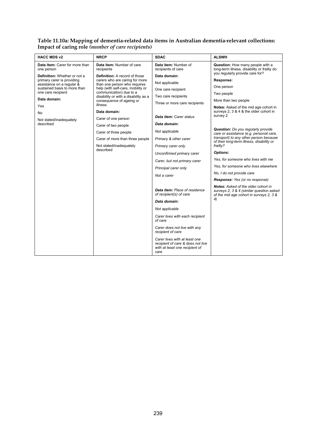#### **Table 11.10a: Mapping of dementia-related data items in Australian dementia-relevant collections: Impact of caring role** *(number of care recipients)*

| <b>HACC MDS v2</b>                                                          | <b>NRCP</b>                                                    | <b>SDAC</b>                                                                                                  | <b>ALSWH</b>                                                                        |
|-----------------------------------------------------------------------------|----------------------------------------------------------------|--------------------------------------------------------------------------------------------------------------|-------------------------------------------------------------------------------------|
| Data item: Carer for more than<br>one person                                | Data item: Number of care<br>recipients                        | Data item: Number of<br>recipients of care                                                                   | Question: How many people with a<br>long-term illness, disability or frailty do     |
| <b>Definition:</b> Whether or not a<br><b>Definition:</b> A record of those |                                                                | Data domain:                                                                                                 | you regularly provide care for?                                                     |
| primary carer is providing<br>assistance on a regular &                     | carers who are caring for more<br>than one person who requires | Not applicable                                                                                               | Response:                                                                           |
| sustained basis to more than<br>one care recipient                          | help (with self-care, mobility or<br>communication) due to a   | One care recipient                                                                                           | One person                                                                          |
|                                                                             | disability or with a disability as a                           | Two care recipients                                                                                          | Two people                                                                          |
| Data domain:                                                                | consequence of ageing or<br>illness                            | Three or more care recipients                                                                                | More than two people                                                                |
| Yes                                                                         | Data domain:                                                   |                                                                                                              | Notes: Asked of the mid age cohort in<br>surveys 2, 3 & 4 & the older cohort in     |
| No.                                                                         | Carer of one person                                            | Data item: Carer status                                                                                      | survey 2                                                                            |
| Not stated/inadequately<br>described                                        | Carer of two people                                            | Data domain:                                                                                                 |                                                                                     |
|                                                                             | Carer of three people                                          | Not applicable                                                                                               | <b>Question:</b> Do you regularly provide                                           |
|                                                                             | Carer of more than three people                                | Primary & other carer                                                                                        | care or assistance (e.g. personal care,<br>transport) to any other person because   |
|                                                                             | Not stated/inadequately                                        | Primary carer only                                                                                           | of their long-term illness, disability or<br>frailty?                               |
|                                                                             | described                                                      |                                                                                                              | Options:                                                                            |
|                                                                             |                                                                | Unconfirmed primary carer                                                                                    | Yes, for someone who lives with me                                                  |
|                                                                             |                                                                | Carer, but not primary carer                                                                                 | Yes, for someone who lives elsewhere                                                |
|                                                                             |                                                                | Principal carer only                                                                                         | No, I do not provide care                                                           |
|                                                                             |                                                                | Not a carer                                                                                                  | Response: Yes (or no response)                                                      |
|                                                                             |                                                                |                                                                                                              | <b>Notes:</b> Asked of the older cohort in                                          |
|                                                                             |                                                                | Data item: Place of residence<br>of recipient(s) of care                                                     | surveys 2, 3 & 4 (similar question asked<br>of the mid age cohort in surveys 2, 3 & |
|                                                                             |                                                                | Data domain:                                                                                                 | 4)                                                                                  |
|                                                                             |                                                                | Not applicable                                                                                               |                                                                                     |
|                                                                             |                                                                | Carer lives with each recipient<br>of care                                                                   |                                                                                     |
|                                                                             |                                                                | Carer does not live with any<br>recipient of care                                                            |                                                                                     |
|                                                                             |                                                                | Carer lives with at least one<br>recipient of care & does not live<br>with at least one recipient of<br>care |                                                                                     |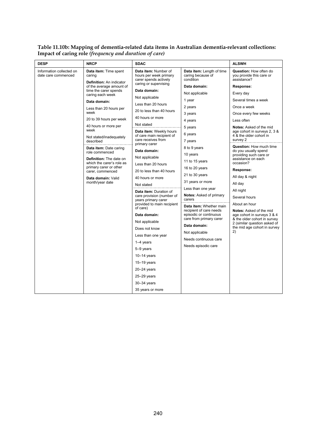#### **Table 11.10b: Mapping of dementia-related data items in Australian dementia-relevant collections: Impact of caring role** *(frequency and duration of care)*

| <b>DESP</b>                                     | <b>NRCP</b>                                                        | <b>SDAC</b>                                                                                      |                                                                                    | <b>ALSWH</b>                                                             |
|-------------------------------------------------|--------------------------------------------------------------------|--------------------------------------------------------------------------------------------------|------------------------------------------------------------------------------------|--------------------------------------------------------------------------|
| Information collected on<br>date care commenced | Data item: Time spent<br>caring<br><b>Definition:</b> An indicator | Data item: Number of<br>hours per week primary<br>carer spends actively<br>caring or supervising | <b>Data item:</b> Length of time<br>caring because of<br>condition<br>Data domain: | <b>Question: How often do</b><br>you provide this care or<br>assistance? |
|                                                 | of the average amount of<br>time the carer spends                  | Data domain:                                                                                     |                                                                                    | Response:                                                                |
|                                                 | caring each week                                                   | Not applicable                                                                                   | Not applicable                                                                     | Every day                                                                |
|                                                 | Data domain:                                                       | Less than 20 hours                                                                               | 1 year                                                                             | Several times a week                                                     |
| Less than 20 hours per<br>week                  | 20 to less than 40 hours                                           | 2 years                                                                                          | Once a week                                                                        |                                                                          |
|                                                 | 20 to 39 hours per week                                            | 40 hours or more                                                                                 | 3 years                                                                            | Once every few weeks<br>Less often                                       |
|                                                 | 40 hours or more per                                               | Not stated                                                                                       | 4 years                                                                            |                                                                          |
|                                                 | week                                                               | Data item: Weekly hours                                                                          | 5 years                                                                            | <b>Notes:</b> Asked of the mid<br>age cohort in surveys 2, 3 &           |
|                                                 | Not stated/inadequately<br>described                               | of care main recipient of<br>care receives from                                                  | 6 years                                                                            | 4 & the older cohort in<br>survey 2                                      |
|                                                 |                                                                    | primary carer                                                                                    | 7 years<br>8 to 9 years                                                            | <b>Question:</b> How much time                                           |
|                                                 | Data item: Date caring<br>role commenced                           | Data domain:                                                                                     | 10 years                                                                           | do you usually spend                                                     |
|                                                 | <b>Definition:</b> The date on                                     | Not applicable                                                                                   | 11 to 15 years                                                                     | providing such care or<br>assistance on each                             |
|                                                 | which the carer's role as<br>primary carer or other                | Less than 20 hours                                                                               | 16 to 20 years                                                                     | occasion?                                                                |
|                                                 | carer, commenced                                                   | 20 to less than 40 hours                                                                         | 21 to 30 years                                                                     | Response:                                                                |
|                                                 | Data domain: Valid                                                 | 40 hours or more                                                                                 | 31 years or more                                                                   | All day & night                                                          |
|                                                 | month/year date                                                    | Not stated                                                                                       | Less than one year                                                                 | All day                                                                  |
|                                                 |                                                                    | Data item: Duration of<br>care provision (number of                                              | Notes: Asked of primary                                                            | All night                                                                |
|                                                 |                                                                    | years primary carer                                                                              | carers                                                                             | Several hours                                                            |
|                                                 |                                                                    | provided to main recipient<br>of care)                                                           | Data item: Whether main                                                            | About an hour                                                            |
|                                                 |                                                                    | Data domain:<br>Not applicable                                                                   | recipient of care needs<br>episodic or continuous<br>care from primary carer       | Notes: Asked of the mid<br>age cohort in surveys 3 & 4                   |
|                                                 |                                                                    |                                                                                                  |                                                                                    | & the older cohort in survey<br>2 (similar question asked of             |
|                                                 |                                                                    | Does not know                                                                                    | Data domain:                                                                       | the mid age cohort in survey                                             |
|                                                 |                                                                    | Less than one year                                                                               | Not applicable                                                                     | 2)                                                                       |
|                                                 |                                                                    | $1-4$ years                                                                                      | Needs continuous care                                                              |                                                                          |
|                                                 |                                                                    | 5-9 years                                                                                        | Needs episodic care                                                                |                                                                          |
|                                                 |                                                                    | $10-14$ years                                                                                    |                                                                                    |                                                                          |
|                                                 |                                                                    | $15-19$ years                                                                                    |                                                                                    |                                                                          |
|                                                 |                                                                    | $20 - 24$ years                                                                                  |                                                                                    |                                                                          |
|                                                 |                                                                    | $25 - 29$ years                                                                                  |                                                                                    |                                                                          |
|                                                 |                                                                    | $30-34$ years                                                                                    |                                                                                    |                                                                          |
|                                                 |                                                                    | 35 years or more                                                                                 |                                                                                    |                                                                          |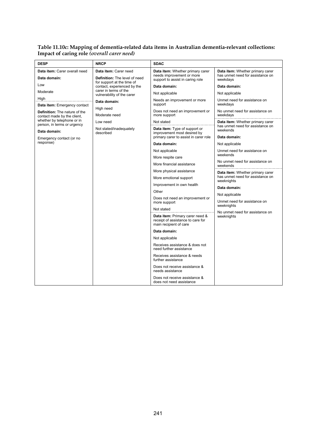#### **Table 11.10c: Mapping of dementia-related data items in Australian dementia-relevant collections: Impact of caring role** *(overall carer need)*

| <b>DESP</b>                                                         | <b>NRCP</b>                                               | <b>SDAC</b>                                                                                    |                                                |
|---------------------------------------------------------------------|-----------------------------------------------------------|------------------------------------------------------------------------------------------------|------------------------------------------------|
| Data item: Carer overall need                                       | Data item: Carer need                                     | Data item: Whether primary carer                                                               | Data item: Whether primary carer               |
| Data domain:                                                        | <b>Definition:</b> The level of need                      | needs improvement or more<br>support to assist in caring role                                  | has unmet need for assistance on<br>weekdays   |
| Low                                                                 | for support at the time of<br>contact, experienced by the | Data domain:                                                                                   | Data domain:                                   |
| Moderate                                                            | carer in terms of the<br>vulnerability of the carer       | Not applicable                                                                                 | Not applicable                                 |
| High                                                                | Data domain:                                              | Needs an improvement or more                                                                   | Unmet need for assistance on                   |
| Data item: Emergency contact                                        | High need<br>Moderate need                                | support                                                                                        | weekdavs                                       |
| <b>Definition:</b> The nature of the<br>contact made by the client, |                                                           | Does not need an improvement or<br>more support                                                | No unmet need for assistance on<br>weekdays    |
| whether by telephone or in<br>person, in terms or urgency           | Low need                                                  | Not stated                                                                                     | Data item: Whether primary carer               |
| Data domain:                                                        | Not stated/inadequately<br>described                      | <b>Data item:</b> Type of support or<br>improvement most desired by                            | has unmet need for assistance on<br>weekends   |
| Emergency contact (or no<br>response)                               |                                                           | primary carer to assist in carer role                                                          | Data domain:                                   |
|                                                                     |                                                           | Data domain:                                                                                   | Not applicable                                 |
|                                                                     |                                                           | Not applicable                                                                                 | Unmet need for assistance on<br>weekends       |
|                                                                     |                                                           | More respite care                                                                              | No unmet need for assistance on                |
|                                                                     |                                                           | More financial assistance                                                                      | weekends                                       |
|                                                                     |                                                           | More physical assistance                                                                       | Data item: Whether primary carer               |
|                                                                     |                                                           | More emotional support                                                                         | has unmet need for assistance on<br>weeknights |
|                                                                     |                                                           | Improvement in own health                                                                      | Data domain:                                   |
|                                                                     |                                                           | Other                                                                                          | Not applicable                                 |
|                                                                     |                                                           | Does not need an improvement or<br>more support                                                | Unmet need for assistance on<br>weeknights     |
|                                                                     |                                                           | Not stated                                                                                     | No unmet need for assistance on<br>weeknights  |
|                                                                     |                                                           | Data item: Primary carer need &<br>receipt of assistance to care for<br>main recipient of care |                                                |
|                                                                     |                                                           | Data domain:                                                                                   |                                                |
|                                                                     |                                                           | Not applicable                                                                                 |                                                |
|                                                                     |                                                           | Receives assistance & does not<br>need further assistance                                      |                                                |
|                                                                     |                                                           | Receives assistance & needs<br>further assistance                                              |                                                |
|                                                                     |                                                           | Does not receive assistance &<br>needs assistance                                              |                                                |
|                                                                     |                                                           | Does not receive assistance &<br>does not need assistance                                      |                                                |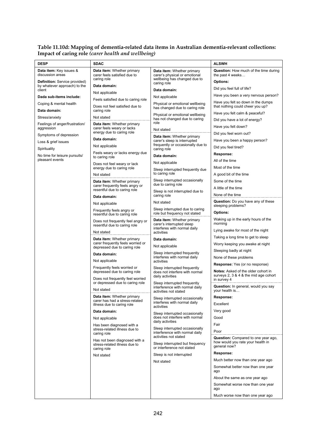#### **Table 11.10d: Mapping of dementia-related data items in Australian dementia-relevant collections: Impact of caring role** *(carer health and wellbeing)*

| <b>DESP</b>                                       | <b>SDAC</b>                                                         |                                                                   | <b>ALSWH</b>                                                                 |
|---------------------------------------------------|---------------------------------------------------------------------|-------------------------------------------------------------------|------------------------------------------------------------------------------|
| Data item: Key issues &                           | Data item: Whether primary<br>carer feels satisfied due to          | <b>Data item:</b> Whether primary                                 | <b>Question:</b> How much of the time during                                 |
| discussion areas<br>Definition: Service provided) | caring role                                                         | carer's physical or emotional<br>wellbeing has changed due to     | the past 4 weeks<br>Options:                                                 |
| by whatever approach) to the                      | Data domain:                                                        | caring role                                                       | Did you feel full of life?                                                   |
| client                                            | Not applicable                                                      | Data domain:                                                      | Have you been a very nervous person?                                         |
| Dada sub-items include:                           | Feels satisfied due to caring role                                  | Not applicable                                                    | Have you felt so down in the dumps                                           |
| Coping & mental health<br>Data domain:            | Does not feel satisfied due to<br>caring role                       | Physical or emotional wellbeing<br>has changed due to caring role | that nothing could cheer you up?                                             |
| Stress/anxiety                                    | Not stated                                                          | Physical or emotional wellbeing                                   | Have you felt calm & peaceful?                                               |
| Feelings of anger/frustration/                    | Data item: Whether primary                                          | has not changed due to caring<br>role                             | Did you have a lot of energy?                                                |
| aggression                                        | carer feels weary or lacks<br>energy due to caring role             | Not stated                                                        | Have you felt down?                                                          |
| Symptoms of depression                            | Data domain:                                                        | Data item: Whether primary                                        | Did you feel worn out?                                                       |
| Loss & grief issues                               | Not applicable                                                      | carer's sleep is interrupted<br>frequently or occasionally due to | Have you been a happy person?                                                |
| Spirituality                                      | Feels weary or lacks energy due                                     | caring role                                                       | Did you feel tired?<br>Response:                                             |
| No time for leisure pursuits/<br>pleasant events  | to caring role                                                      | Data domain:                                                      | All of the time                                                              |
|                                                   | Does not feel weary or lack<br>energy due to caring role            | Not applicable                                                    | Most of the time                                                             |
|                                                   | Not stated                                                          | Sleep interrupted frequently due<br>to caring role                | A good bit of the time                                                       |
|                                                   | Data item: Whether primary                                          | Sleep interrupted occasionally                                    | Some of the time                                                             |
|                                                   | carer frequently feels angry or<br>resentful due to caring role     | due to caring role                                                | A little of the time                                                         |
|                                                   | Data domain:                                                        | Sleep is not interrupted due to<br>caring role                    | None of the time                                                             |
|                                                   | Not applicable                                                      | Not stated                                                        | <b>Question:</b> Do you have any of these                                    |
|                                                   | Frequently feels angry or                                           | Sleep interrupted due to caring                                   | sleeping problems?                                                           |
|                                                   | resentful due to caring role                                        | role but frequency not stated                                     | <b>Options:</b><br>Waking up in the early hours of the                       |
|                                                   | Does not frequently feel angry or<br>resentful due to caring role   | Data item: Whether primary<br>carer's interrupted sleep           | morning                                                                      |
|                                                   | Not stated                                                          | interferes with normal daily<br>activities                        | Lying awake for most of the night                                            |
|                                                   | Data item: Whether primary                                          | Data domain:                                                      | Taking a long time to get to sleep                                           |
|                                                   | carer frequently feels worried or<br>depressed due to caring role   | Not applicable                                                    | Worry keeping you awake at night                                             |
|                                                   | Data domain:                                                        | Sleep interrupted frequently                                      | Sleeping badly at night                                                      |
|                                                   | Not applicable                                                      | interferes with normal daily<br>activities                        | None of these problems                                                       |
|                                                   | Frequently feels worried or                                         | Sleep interrupted frequently                                      | <b>Response:</b> Yes (or no response)                                        |
|                                                   | depressed due to caring role                                        | does not interfere with normal<br>daily activities                | Notes: Asked of the older cohort in<br>surveys 2, 3 & 4 & the mid age cohort |
|                                                   | Does not frequently feel worried<br>or depressed due to caring role | Sleep interrupted frequently                                      | in survey 4                                                                  |
|                                                   | Not stated                                                          | interference with normal daily<br>activities not stated           | Question: In general, would you say<br>your health is                        |
|                                                   | Data item: Whether primary                                          | Sleep interrupted occasionally                                    | Response:                                                                    |
|                                                   | carer has had a stress-related<br>illness due to caring role        | interferes with normal daily<br>activities                        | Excellent                                                                    |
|                                                   | Data domain:                                                        | Sleep interrupted occasionally                                    | Very good                                                                    |
|                                                   | Not applicable                                                      | does not interfere with normal<br>daily activities                | Good                                                                         |
|                                                   | Has been diagnosed with a<br>stress-related illness due to          | Sleep interrupted occasionally                                    | Fair                                                                         |
|                                                   | caring role                                                         | interference with normal daily<br>activities not stated           | Poor                                                                         |
|                                                   | Has not been diagnosed with a<br>stress-related illness due to      | Sleep interrupted but frequency                                   | Question: Compared to one year ago,<br>how would you rate your health in     |
|                                                   | caring role                                                         | or interference not stated                                        | general now?                                                                 |
|                                                   | Not stated                                                          | Sleep is not interrupted                                          | Response:                                                                    |
|                                                   |                                                                     | Not stated                                                        | Much better now than one year ago                                            |
|                                                   |                                                                     |                                                                   | Somewhat better now than one year<br>ago                                     |
|                                                   |                                                                     |                                                                   | About the same as one year ago                                               |
|                                                   |                                                                     |                                                                   | Somewhat worse now than one year<br>ago                                      |
|                                                   |                                                                     |                                                                   | Much worse now than one year ago                                             |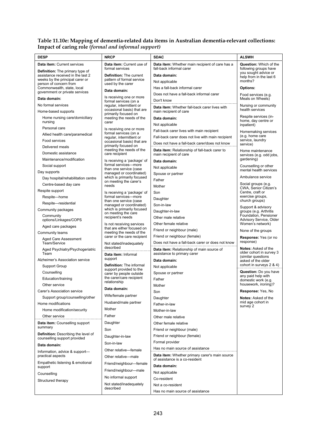| <b>DESP</b>                                                          | <b>NRCP</b>                                                 | <b>SDAC</b>                                                                      | <b>ALSWH</b>                                                         |  |
|----------------------------------------------------------------------|-------------------------------------------------------------|----------------------------------------------------------------------------------|----------------------------------------------------------------------|--|
| Data item: Current services                                          | Data item: Current use of                                   | Data item: Whether main recipient of care has a                                  | <b>Question:</b> Which of the                                        |  |
| <b>Definition:</b> The primary type of                               | formal services                                             | fall-back informal carer                                                         | following groups have                                                |  |
| assistance received in the last 2<br>weeks by the principal carer or | <b>Definition: The current</b><br>pattern of formal service | Data domain:                                                                     | you sought advice or<br>help from in the last 6                      |  |
| person of concern from                                               | used by the carer                                           | Not applicable                                                                   | months?                                                              |  |
| Commonwealth, state, local<br>government or private services         | Data domain:                                                | Has a fall-back informal carer                                                   | Options:                                                             |  |
| Data domain:                                                         | Is receiving one or more                                    | Does not have a fall-back informal carer                                         | Food services (e.g.<br>Meals on Wheels)                              |  |
| No formal services                                                   | formal services (on a                                       | Don't know                                                                       |                                                                      |  |
| Home-based supports                                                  | regular, intermittent or<br>occasional basis) that are      | Data item: Whether fall-back carer lives with<br>main recipient of care          | Nursing or community<br>health services                              |  |
| Home nursing care/domiciliary                                        | primarily focused on<br>meeting the needs of the            | Data domain:                                                                     | Respite services (in-                                                |  |
| nursing                                                              | carer                                                       | Not applicable                                                                   | home, day centre or<br>inpatient)                                    |  |
| Personal care                                                        | Is receiving one or more                                    | Fall-back carer lives with main recipient                                        | Homemaking services                                                  |  |
| Allied health care/paramedical                                       | formal services (on a<br>regular, intermittent or           | Fall-back carer does not live with main recipient                                | (e.g. home care                                                      |  |
| Food services                                                        | occasional basis) that are<br>primarily focused on          | Does not have a fall-back carer/does not know                                    | service, laundry<br>service)                                         |  |
| Delivered meals                                                      | meeting the needs of the                                    | Data item: Relationship of fall-back carer to                                    | Home maintenance                                                     |  |
| Domestic assistance                                                  | care recipient                                              | main recipient of care                                                           | services (e.g. odd jobs,                                             |  |
| Maintenance/modification                                             | Is receiving a 'package' of<br>formal services-more         | Data domain:                                                                     | gardening)                                                           |  |
| Social support                                                       | than one service (case                                      | Not applicable                                                                   | Counselling or other<br>mental health services                       |  |
| Day supports                                                         | managed or coordinated)<br>which is primarily focused       | Spouse or partner                                                                | Ambulance service                                                    |  |
| Day hospital/rehabilitation centre                                   | on meeting the carer's                                      | Father                                                                           | Social groups (e.g.                                                  |  |
| Centre-based day care                                                | needs                                                       | Mother                                                                           | CWA, Senior Citizen's                                                |  |
| Respite support                                                      | Is receiving a 'package' of<br>formal services-more         | Son                                                                              | Centre, craft or<br>exercise groups,                                 |  |
| Respite-home                                                         | than one service (case                                      | Daughter                                                                         | church groups)                                                       |  |
| Respite-residential<br>Community packages                            | managed or coordinated)<br>which is primarily focused       | Son-in-law                                                                       | Support & advisory                                                   |  |
| Community                                                            | on meeting the care                                         | Daughter-in-law                                                                  | groups (e.g. Arthritis<br>Foundation, Pensioner                      |  |
| options/Linkages/COPS                                                | recipient's needs                                           | Other male relative                                                              | Advisory Service, Older                                              |  |
| Aged care packages                                                   | Is not receiving services<br>that are either focused on     | Other female relative                                                            | Women's network)                                                     |  |
| Community teams                                                      | meeting the needs of the                                    | Friend or neighbour (male)                                                       | None of the groups                                                   |  |
| <b>Aged Care Assessment</b>                                          | carer or the care recipient                                 | Friend or neighbour (female)                                                     | Response: Yes (or no<br>response)                                    |  |
| Team/Service                                                         | Not stated/inadequately<br>described                        | Does not have a fall-back carer or does not know                                 | <b>Notes: Asked of the</b>                                           |  |
| Aged Psychiatry/Psychogeriatric<br>Team                              | Data item: Informal                                         | Data item: Relationship of main source of<br>assistance to primary carer         | older cohort in survey 3<br>(similar questions<br>asked of the older |  |
| Alzheimer's Association service                                      | support                                                     | Data domain:                                                                     |                                                                      |  |
| Support Group                                                        | <b>Definition:</b> The informal                             | Not applicable                                                                   | cohort in surveys 2 & 4)                                             |  |
| Counselling                                                          | support provided to the<br>carer by people outside          | Spouse or partner                                                                | Question: Do you have                                                |  |
| Education/training                                                   | the carer/care recipient                                    | Father                                                                           | any paid help with<br>domestic work (e.g.                            |  |
| Other service                                                        | relationship                                                | Mother                                                                           | housework, ironing)?                                                 |  |
| Carer's Association service                                          | Data domain:                                                | Son                                                                              | Response: Yes, No                                                    |  |
| Support group/counselling/other                                      | Wife/female partner                                         | Daughter                                                                         | <b>Notes: Asked of the</b>                                           |  |
| Home modifications                                                   | Husband/male partner                                        | Father-in-law                                                                    | mid age cohort in<br>survey 2                                        |  |
| Home modification/security                                           | Mother                                                      | Mother-in-law                                                                    |                                                                      |  |
| Other service                                                        | Father                                                      | Other male relative                                                              |                                                                      |  |
| Data item: Counselling support                                       | Daughter                                                    | Other female relative                                                            |                                                                      |  |
| summary                                                              | Son                                                         | Friend or neighbour (male)                                                       |                                                                      |  |
| Definition: Describing the level of<br>counselling support provided  | Daughter-in-law                                             | Friend or neighbour (female)                                                     |                                                                      |  |
| Data domain:                                                         | Son-in-law                                                  | Formal provider                                                                  |                                                                      |  |
| Information, advice & support-                                       | Other relative-female                                       | Has no main source of assistance                                                 |                                                                      |  |
| practical aspects                                                    | Other relative-male                                         | Data item: Whether primary carer's main source<br>of assistance is a co-resident |                                                                      |  |
| Empathetic listening & emotional                                     | Friend/neighbour-female                                     | Data domain:                                                                     |                                                                      |  |
| support                                                              | Friend/neighbour-male                                       | Not applicable                                                                   |                                                                      |  |
| Counselling                                                          | No informal support                                         | Co-resident                                                                      |                                                                      |  |
| Structured therapy                                                   | Not stated/inadequately                                     | Not a co-resident                                                                |                                                                      |  |
|                                                                      | described                                                   | Has no main source of assistance                                                 |                                                                      |  |

## **Table 11.10e: Mapping of dementia-related data items in Australian dementia-relevant collections: Impact of caring role** *(formal and informal support)*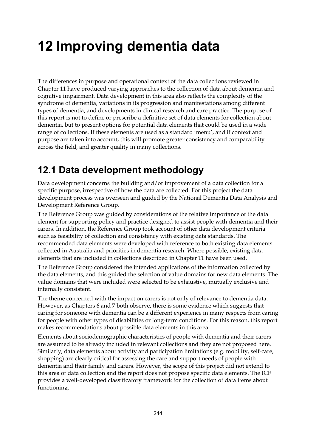# **12 Improving dementia data**

The differences in purpose and operational context of the data collections reviewed in Chapter 11 have produced varying approaches to the collection of data about dementia and cognitive impairment. Data development in this area also reflects the complexity of the syndrome of dementia, variations in its progression and manifestations among different types of dementia, and developments in clinical research and care practice. The purpose of this report is not to define or prescribe a definitive set of data elements for collection about dementia, but to present options for potential data elements that could be used in a wide range of collections. If these elements are used as a standard 'menu', and if context and purpose are taken into account, this will promote greater consistency and comparability across the field, and greater quality in many collections.

# **12.1 Data development methodology**

Data development concerns the building and/or improvement of a data collection for a specific purpose, irrespective of how the data are collected. For this project the data development process was overseen and guided by the National Dementia Data Analysis and Development Reference Group.

The Reference Group was guided by considerations of the relative importance of the data element for supporting policy and practice designed to assist people with dementia and their carers. In addition, the Reference Group took account of other data development criteria such as feasibility of collection and consistency with existing data standards. The recommended data elements were developed with reference to both existing data elements collected in Australia and priorities in dementia research. Where possible, existing data elements that are included in collections described in Chapter 11 have been used.

The Reference Group considered the intended applications of the information collected by the data elements, and this guided the selection of value domains for new data elements. The value domains that were included were selected to be exhaustive, mutually exclusive and internally consistent.

The theme concerned with the impact on carers is not only of relevance to dementia data. However, as Chapters 6 and 7 both observe, there is some evidence which suggests that caring for someone with dementia can be a different experience in many respects from caring for people with other types of disabilities or long-term conditions. For this reason, this report makes recommendations about possible data elements in this area.

Elements about sociodemographic characteristics of people with dementia and their carers are assumed to be already included in relevant collections and they are not proposed here. Similarly, data elements about activity and participation limitations (e.g. mobility, self-care, shopping) are clearly critical for assessing the care and support needs of people with dementia and their family and carers. However, the scope of this project did not extend to this area of data collection and the report does not propose specific data elements. The ICF provides a well-developed classificatory framework for the collection of data items about functioning.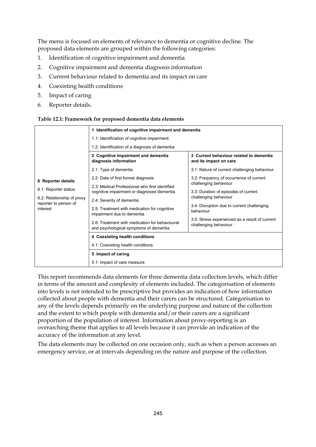The menu is focused on elements of relevance to dementia or cognitive decline. The proposed data elements are grouped within the following categories:

- 1. Identification of cognitive impairment and dementia
- 2. Cognitive impairment and dementia diagnosis information
- 3. Current behaviour related to dementia and its impact on care
- 4. Coexisting health conditions
- 5. Impact of caring
- 6. Reporter details.

#### **Table 12.1: Framework for proposed dementia data elements**

|                                                     | 1 Identification of cognitive impairment and dementia                                                                                                                  |                                                                                                                                                                                              |  |  |
|-----------------------------------------------------|------------------------------------------------------------------------------------------------------------------------------------------------------------------------|----------------------------------------------------------------------------------------------------------------------------------------------------------------------------------------------|--|--|
|                                                     | 1.1: Identification of cognitive impairment                                                                                                                            |                                                                                                                                                                                              |  |  |
|                                                     | 1.2: Identification of a diagnosis of dementia                                                                                                                         |                                                                                                                                                                                              |  |  |
|                                                     | 2 Cognitive impairment and dementia<br>diagnosis information                                                                                                           | 3 Current behaviour related to dementia<br>and its impact on care                                                                                                                            |  |  |
|                                                     | 2.1: Type of dementia                                                                                                                                                  | 3.1: Nature of current challenging behaviour                                                                                                                                                 |  |  |
| 6 Reporter details                                  | 2.2: Date of first formal diagnosis                                                                                                                                    | 3.2: Frequency of occurrence of current<br>challenging behaviour<br>3.3: Duration of episodes of current<br>challenging behaviour<br>3.4: Disruption due to current challenging<br>behaviour |  |  |
| 6.1: Reporter status                                | 2.3: Medical Professional who first identified<br>cognitive impairment or diagnosed dementia                                                                           |                                                                                                                                                                                              |  |  |
| 6.2: Relationship of proxy<br>reporter to person of | 2.4: Severity of dementia                                                                                                                                              |                                                                                                                                                                                              |  |  |
| interest                                            | 2.5: Treatment with medication for cognitive<br>impairment due to dementia<br>2.6: Treatment with medication for behavioural<br>and psychological symptoms of dementia |                                                                                                                                                                                              |  |  |
|                                                     |                                                                                                                                                                        | 3.5: Stress experienced as a result of current<br>challenging behaviour                                                                                                                      |  |  |
|                                                     | 4 Coexisting health conditions                                                                                                                                         |                                                                                                                                                                                              |  |  |
|                                                     | 4.1: Coexisting health conditions                                                                                                                                      |                                                                                                                                                                                              |  |  |
|                                                     | 5 Impact of caring                                                                                                                                                     |                                                                                                                                                                                              |  |  |
|                                                     | 5.1: Impact of care measure                                                                                                                                            |                                                                                                                                                                                              |  |  |

This report recommends data elements for three dementia data collection levels, which differ in terms of the amount and complexity of elements included. The categorisation of elements into levels is not intended to be prescriptive but provides an indication of how information collected about people with dementia and their carers can be structured. Categorisation to any of the levels depends primarily on the underlying purpose and nature of the collection and the extent to which people with dementia and/or their carers are a significant proportion of the population of interest. Information about proxy-reporting is an overarching theme that applies to all levels because it can provide an indication of the accuracy of the information at any level.

The data elements may be collected on one occasion only, such as when a person accesses an emergency service, or at intervals depending on the nature and purpose of the collection.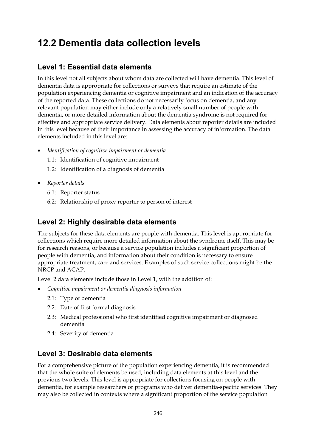# **12.2 Dementia data collection levels**

## **Level 1: Essential data elements**

In this level not all subjects about whom data are collected will have dementia. This level of dementia data is appropriate for collections or surveys that require an estimate of the population experiencing dementia or cognitive impairment and an indication of the accuracy of the reported data. These collections do not necessarily focus on dementia, and any relevant population may either include only a relatively small number of people with dementia, or more detailed information about the dementia syndrome is not required for effective and appropriate service delivery. Data elements about reporter details are included in this level because of their importance in assessing the accuracy of information. The data elements included in this level are:

- *Identification of cognitive impairment or dementia* 
	- 1.1: Identification of cognitive impairment
	- 1.2: Identification of a diagnosis of dementia
- *Reporter details* 
	- 6.1: Reporter status
	- 6.2: Relationship of proxy reporter to person of interest

## **Level 2: Highly desirable data elements**

The subjects for these data elements are people with dementia. This level is appropriate for collections which require more detailed information about the syndrome itself. This may be for research reasons, or because a service population includes a significant proportion of people with dementia, and information about their condition is necessary to ensure appropriate treatment, care and services. Examples of such service collections might be the NRCP and ACAP.

Level 2 data elements include those in Level 1, with the addition of:

- *Cognitive impairment or dementia diagnosis information*
	- 2.1: Type of dementia
	- 2.2: Date of first formal diagnosis
	- 2.3: Medical professional who first identified cognitive impairment or diagnosed dementia
	- 2.4: Severity of dementia

## **Level 3: Desirable data elements**

For a comprehensive picture of the population experiencing dementia, it is recommended that the whole suite of elements be used, including data elements at this level and the previous two levels. This level is appropriate for collections focusing on people with dementia, for example researchers or programs who deliver dementia-specific services. They may also be collected in contexts where a significant proportion of the service population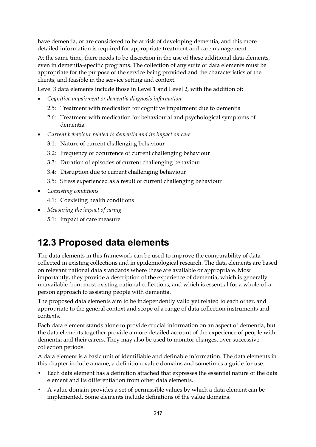have dementia, or are considered to be at risk of developing dementia, and this more detailed information is required for appropriate treatment and care management.

At the same time, there needs to be discretion in the use of these additional data elements, even in dementia-specific programs. The collection of any suite of data elements must be appropriate for the purpose of the service being provided and the characteristics of the clients, and feasible in the service setting and context.

Level 3 data elements include those in Level 1 and Level 2, with the addition of:

- *Cognitive impairment or dementia diagnosis information*
	- 2.5: Treatment with medication for cognitive impairment due to dementia
	- 2.6: Treatment with medication for behavioural and psychological symptoms of dementia
- *Current behaviour related to dementia and its impact on care*
	- 3.1: Nature of current challenging behaviour
	- 3.2: Frequency of occurrence of current challenging behaviour
	- 3.3: Duration of episodes of current challenging behaviour
	- 3.4: Disruption due to current challenging behaviour
	- 3.5: Stress experienced as a result of current challenging behaviour
- *Coexisting conditions*
	- 4.1: Coexisting health conditions
- *Measuring the impact of caring*
	- 5.1: Impact of care measure

# **12.3 Proposed data elements**

The data elements in this framework can be used to improve the comparability of data collected in existing collections and in epidemiological research. The data elements are based on relevant national data standards where these are available or appropriate. Most importantly, they provide a description of the experience of dementia, which is generally unavailable from most existing national collections, and which is essential for a whole-of-aperson approach to assisting people with dementia.

The proposed data elements aim to be independently valid yet related to each other, and appropriate to the general context and scope of a range of data collection instruments and contexts.

Each data element stands alone to provide crucial information on an aspect of dementia, but the data elements together provide a more detailed account of the experience of people with dementia and their carers. They may also be used to monitor changes, over successive collection periods.

A data element is a basic unit of identifiable and definable information. The data elements in this chapter include a name, a definition, value domains and sometimes a guide for use.

- Each data element has a definition attached that expresses the essential nature of the data element and its differentiation from other data elements.
- A value domain provides a set of permissible values by which a data element can be implemented. Some elements include definitions of the value domains.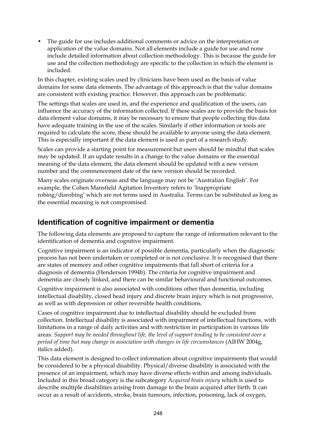• The guide for use includes additional comments or advice on the interpretation or application of the value domains. Not all elements include a guide for use and none include detailed information about collection methodology. This is because the guide for use and the collection methodology are specific to the collection in which the element is included.

In this chapter, existing scales used by clinicians have been used as the basis of value domains for some data elements. The advantage of this approach is that the value domains are consistent with existing practice. However, this approach can be problematic.

The settings that scales are used in, and the experience and qualification of the users, can influence the accuracy of the information collected. If these scales are to provide the basis for data element value domains, it may be necessary to ensure that people collecting this data have adequate training in the use of the scales. Similarly if other information or tools are required to calculate the score, these should be available to anyone using the data element. This is especially important if the data element is used as part of a research study.

Scales can provide a starting point for measurement but users should be mindful that scales may be updated. If an update results in a change to the value domains or the essential meaning of the data element, the data element should be updated with a new version number and the commencement date of the new version should be recorded.

Many scales originate overseas and the language may not be 'Australian English'. For example, the Cohen Mansfield Agitation Inventory refers to 'Inappropriate robing/disrobing' which are not terms used in Australia. Terms can be substituted as long as the essential meaning is not compromised.

## **Identification of cognitive impairment or dementia**

The following data elements are proposed to capture the range of information relevant to the identification of dementia and cognitive impairment.

Cognitive impairment is an indicator of possible dementia, particularly when the diagnostic process has not been undertaken or completed or is not conclusive. It is recognised that there are states of memory and other cognitive impairments that fall short of criteria for a diagnosis of dementia (Henderson 1994b). The criteria for cognitive impairment and dementia are closely linked, and there can be similar behavioural and functional outcomes.

Cognitive impairment is also associated with conditions other than dementia, including intellectual disability, closed head injury and discrete brain injury which is not progressive, as well as with depression or other reversible health conditions.

Cases of cognitive impairment due to intellectual disability should be excluded from collection. Intellectual disability is associated with impairment of intellectual functions, with limitations in a range of daily activities and with restriction in participation in various life areas. *Support may be needed throughout life, the level of support tending to be consistent over a period of time but may change in association with changes in life circumstances* (AIHW 2004g, italics added).

This data element is designed to collect information about cognitive impairments that would be considered to be a physical disability. Physical/diverse disability is associated with the presence of an impairment, which may have diverse effects within and among individuals. Included in this broad category is the subcategory *Acquired brain injury* which is used to describe multiple disabilities arising from damage to the brain acquired after birth. It can occur as a result of accidents, stroke, brain tumours, infection, poisoning, lack of oxygen,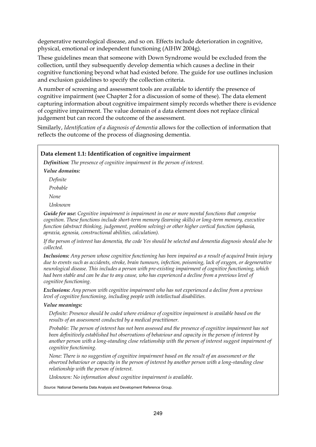degenerative neurological disease, and so on. Effects include deterioration in cognitive, physical, emotional or independent functioning (AIHW 2004g).

These guidelines mean that someone with Down Syndrome would be excluded from the collection, until they subsequently develop dementia which causes a decline in their cognitive functioning beyond what had existed before. The guide for use outlines inclusion and exclusion guidelines to specify the collection criteria.

A number of screening and assessment tools are available to identify the presence of cognitive impairment (see Chapter 2 for a discussion of some of these). The data element capturing information about cognitive impairment simply records whether there is evidence of cognitive impairment. The value domain of a data element does not replace clinical judgement but can record the outcome of the assessment.

Similarly, *Identification of a diagnosis of dementia* allows for the collection of information that reflects the outcome of the process of diagnosing dementia.

#### **Data element 1.1: Identification of cognitive impairment**

*Definition: The presence of cognitive impairment in the person of interest.* 

*Value domains:* 

*Definite* 

*Probable* 

*None* 

*Unknown* 

*Guide for use: Cognitive impairment is impairment in one or more mental functions that comprise cognition. These functions include short-term memory (learning skills) or long-term memory, executive function (abstract thinking, judgement, problem solving) or other higher cortical function (aphasia, apraxia, agnosia, constructional abilities, calculation).*

*If the person of interest has dementia, the code Yes should be selected and dementia diagnosis should also be collected.* 

*Inclusions: Any person whose cognitive functioning has been impaired as a result of acquired brain injury due to events such as accidents, stroke, brain tumours, infection, poisoning, lack of oxygen, or degenerative neurological disease. This includes a person with pre-existing impairment of cognitive functioning, which had been stable and can be due to any cause, who has experienced a decline from a previous level of cognitive functioning.* 

*Exclusions: Any person with cognitive impairment who has not experienced a decline from a previous level of cognitive functioning, including people with intellectual disabilities.* 

#### *Value meanings:*

*Definite: Presence should be coded where evidence of cognitive impairment is available based on the results of an assessment conducted by a medical practitioner.* 

*Probable: The person of interest has not been assessed and the presence of cognitive impairment has not been definitively established but observations of behaviour and capacity in the person of interest by another person with a long-standing close relationship with the person of interest suggest impairment of cognitive functioning.* 

*None: There is no suggestion of cognitive impairment based on the result of an assessment or the observed behaviour or capacity in the person of interest by another person with a long-standing close relationship with the person of interest.* 

*Unknown: No information about cognitive impairment is available.* 

*Source:* National Dementia Data Analysis and Development Reference Group.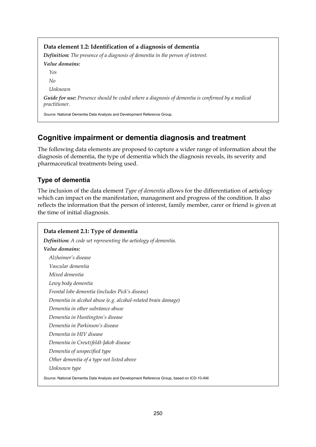**Data element 1.2: Identification of a diagnosis of dementia**  *Definition: The presence of a diagnosis of dementia in the person of interest. Value domains: Yes No Unknown Guide for use: Presence should be coded where a diagnosis of dementia is confirmed by a medical practitioner. Source:* National Dementia Data Analysis and Development Reference Group.

## **Cognitive impairment or dementia diagnosis and treatment**

The following data elements are proposed to capture a wider range of information about the diagnosis of dementia, the type of dementia which the diagnosis reveals, its severity and pharmaceutical treatments being used.

## **Type of dementia**

The inclusion of the data element *Type of dementia* allows for the differentiation of aetiology which can impact on the manifestation, management and progress of the condition. It also reflects the information that the person of interest, family member, carer or friend is given at the time of initial diagnosis.

## **Data element 2.1: Type of dementia**  *Definition: A code set representing the aetiology of dementia. Value domains: Alzheimer's disease Vascular dementia Mixed dementia Lewy body dementia Frontal lobe dementia (includes Pick's disease) Dementia in alcohol abuse (e.g. alcohol-related brain damage) Dementia in other substance abuse Dementia in Huntington's disease Dementia in Parkinson's disease Dementia in HIV disease Dementia in Creutzfeldt-Jakob disease Dementia of unspecified type Other dementia of a type not listed above Unknown type Source:* National Dementia Data Analysis and Development Reference Group, based on ICD-10-AM.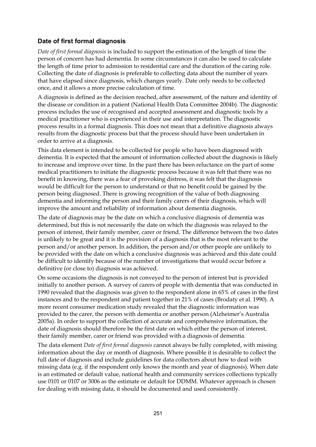## **Date of first formal diagnosis**

*Date of first formal diagnosis* is included to support the estimation of the length of time the person of concern has had dementia. In some circumstances it can also be used to calculate the length of time prior to admission to residential care and the duration of the caring role. Collecting the date of diagnosis is preferable to collecting data about the number of years that have elapsed since diagnosis, which changes yearly. Date only needs to be collected once, and it allows a more precise calculation of time.

A diagnosis is defined as the decision reached, after assessment, of the nature and identity of the disease or condition in a patient (National Health Data Committee 2004b). The diagnostic process includes the use of recognised and accepted assessment and diagnostic tools by a medical practitioner who is experienced in their use and interpretation. The diagnostic process results in a formal diagnosis. This does not mean that a definitive diagnosis always results from the diagnostic process but that the process should have been undertaken in order to arrive at a diagnosis.

This data element is intended to be collected for people who have been diagnosed with dementia. It is expected that the amount of information collected about the diagnosis is likely to increase and improve over time. In the past there has been reluctance on the part of some medical practitioners to initiate the diagnostic process because it was felt that there was no benefit in knowing, there was a fear of provoking distress, it was felt that the diagnosis would be difficult for the person to understand or that no benefit could be gained by the person being diagnosed. There is growing recognition of the value of both diagnosing dementia and informing the person and their family carers of their diagnosis, which will improve the amount and reliability of information about dementia diagnosis.

The date of diagnosis may be the date on which a conclusive diagnosis of dementia was determined, but this is not necessarily the date on which the diagnosis was relayed to the person of interest, their family member, carer or friend. The difference between the two dates is unlikely to be great and it is the provision of a diagnosis that is the most relevant to the person and/or another person. In addition, the person and/or other people are unlikely to be provided with the date on which a conclusive diagnosis was achieved and this date could be difficult to identify because of the number of investigations that would occur before a definitive (or close to) diagnosis was achieved.

On some occasions the diagnosis is not conveyed to the person of interest but is provided initially to another person. A survey of carers of people with dementia that was conducted in 1990 revealed that the diagnosis was given to the respondent alone in 65% of cases in the first instances and to the respondent and patient together in 21% of cases (Brodaty et al. 1990). A more recent consumer medication study revealed that the diagnostic information was provided to the carer, the person with dementia or another person (Alzheimer's Australia 2005a). In order to support the collection of accurate and comprehensive information, the date of diagnosis should therefore be the first date on which either the person of interest, their family member, carer or friend was provided with a diagnosis of dementia.

The data element *Date of first formal diagnosis* cannot always be fully completed, with missing information about the day or month of diagnosis. Where possible it is desirable to collect the full date of diagnosis and include guidelines for data collectors about how to deal with missing data (e.g. if the respondent only knows the month and year of diagnosis). When date is an estimated or default value, national health and community services collections typically use 0101 or 0107 or 3006 as the estimate or default for DDMM. Whatever approach is chosen for dealing with missing data, it should be documented and used consistently.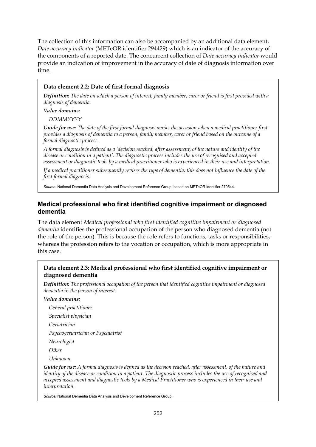The collection of this information can also be accompanied by an additional data element, *Date accuracy indicator* (METeOR identifier 294429) which is an indicator of the accuracy of the components of a reported date. The concurrent collection of *Date accuracy indicator* would provide an indication of improvement in the accuracy of date of diagnosis information over time.

### **Data element 2.2: Date of first formal diagnosis**

*Definition: The date on which a person of interest, family member, carer or friend is first provided with a diagnosis of dementia.* 

*Value domains:* 

*DDMMYYYY* 

*Guide for use: The date of the first formal diagnosis marks the occasion when a medical practitioner first provides a diagnosis of dementia to a person, family member, carer or friend based on the outcome of a formal diagnostic process.*

*A formal diagnosis is defined as a 'decision reached, after assessment, of the nature and identity of the disease or condition in a patient'. The diagnostic process includes the use of recognised and accepted assessment or diagnostic tools by a medical practitioner who is experienced in their use and interpretation.* 

*If a medical practitioner subsequently revises the type of dementia, this does not influence the date of the first formal diagnosis.* 

*Source:* National Dementia Data Analysis and Development Reference Group, based on METeOR identifier 270544.

## **Medical professional who first identified cognitive impairment or diagnosed dementia**

The data element *Medical professional who first identified cognitive impairment or diagnosed dementia* identifies the professional occupation of the person who diagnosed dementia (not the role of the person). This is because the role refers to functions, tasks or responsibilities, whereas the profession refers to the vocation or occupation, which is more appropriate in this case.

## **Data element 2.3: Medical professional who first identified cognitive impairment or diagnosed dementia**

*Definition: The professional occupation of the person that identified cognitive impairment or diagnosed dementia in the person of interest.* 

*Value domains:* 

*General practitioner* 

*Specialist physician* 

*Geriatrician* 

*Psychogeriatrician or Psychiatrist* 

*Neurologist* 

*Other* 

*Unknown* 

*Guide for use: A formal diagnosis is defined as the decision reached, after assessment, of the nature and identity of the disease or condition in a patient. The diagnostic process includes the use of recognised and accepted assessment and diagnostic tools by a Medical Practitioner who is experienced in their use and interpretation.*

*Source:* National Dementia Data Analysis and Development Reference Group.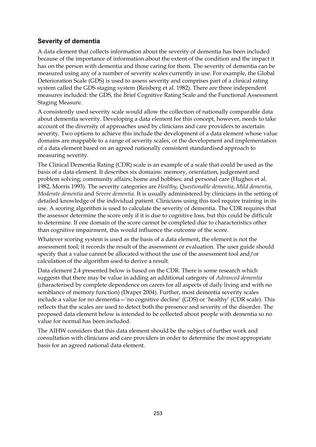## **Severity of dementia**

A data element that collects information about the severity of dementia has been included because of the importance of information about the extent of the condition and the impact it has on the person with dementia and those caring for them. The severity of dementia can be measured using any of a number of severity scales currently in use. For example, the Global Deterioration Scale (GDS) is used to assess severity and comprises part of a clinical rating system called the GDS staging system (Reisberg et al. 1982). There are three independent measures included: the GDS, the Brief Cognitive Rating Scale and the Functional Assessment Staging Measure.

A consistently used severity scale would allow the collection of nationally comparable data about dementia severity. Developing a data element for this concept, however, needs to take account of the diversity of approaches used by clinicians and care providers to ascertain severity. Two options to achieve this include the development of a data element whose value domains are mappable to a range of severity scales, or the development and implementation of a data element based on an agreed nationally consistent standardised approach to measuring severity.

The Clinical Dementia Rating (CDR) scale is an example of a scale that could be used as the basis of a data element. It describes six domains: memory, orientation, judgement and problem solving; community affairs; home and hobbies; and personal care (Hughes et al. 1982, Morris 1993). The severity categories are *Healthy*, *Questionable dementia*, *Mild dementia*, *Moderate dementia* and *Severe dementia*. It is usually administered by clinicians in the setting of detailed knowledge of the individual patient. Clinicians using this tool require training in its use. A scoring algorithm is used to calculate the severity of dementia. The CDR requires that the assessor determine the score only if it is due to cognitive loss, but this could be difficult to determine. If one domain of the score cannot be completed due to characteristics other than cognitive impairment, this would influence the outcome of the score.

Whatever scoring system is used as the basis of a data element, the element is not the assessment tool; it records the result of the assessment or evaluation. The user guide should specify that a value cannot be allocated without the use of the assessment tool and/or calculation of the algorithm used to derive a result.

Data element 2.4 presented below is based on the CDR. There is some research which suggests that there may be value in adding an additional category of *Advanced dementia* (characterised by complete dependence on carers for all aspects of daily living and with no semblance of memory function) (Draper 2004). Further, most dementia severity scales include a value for no dementia—'no cognitive decline' (GDS) or 'healthy' (CDR scale). This reflects that the scales are used to detect both the presence and severity of the disorder. The proposed data element below is intended to be collected about people with dementia so no value for normal has been included.

The AIHW considers that this data element should be the subject of further work and consultation with clinicians and care providers in order to determine the most appropriate basis for an agreed national data element.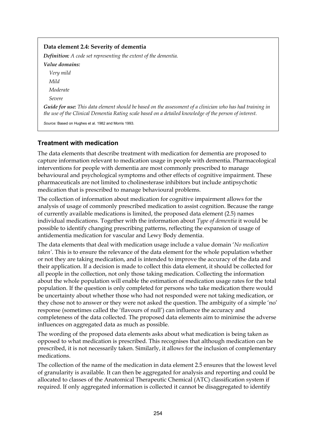| Data element 2.4: Severity of dementia                                                                                                                                                                                     |
|----------------------------------------------------------------------------------------------------------------------------------------------------------------------------------------------------------------------------|
| <b>Definition:</b> A code set representing the extent of the dementia.                                                                                                                                                     |
| Value domains:                                                                                                                                                                                                             |
| Very mild                                                                                                                                                                                                                  |
| Mild                                                                                                                                                                                                                       |
| Moderate                                                                                                                                                                                                                   |
| Severe                                                                                                                                                                                                                     |
| <b>Guide for use:</b> This data element should be based on the assessment of a clinician who has had training in<br>the use of the Clinical Dementia Rating scale based on a detailed knowledge of the person of interest. |

*Source:* Based on Hughes et al. 1982 and Morris 1993.

## **Treatment with medication**

The data elements that describe treatment with medication for dementia are proposed to capture information relevant to medication usage in people with dementia. Pharmacological interventions for people with dementia are most commonly prescribed to manage behavioural and psychological symptoms and other effects of cognitive impairment. These pharmaceuticals are not limited to cholinesterase inhibitors but include antipsychotic medication that is prescribed to manage behavioural problems.

The collection of information about medication for cognitive impairment allows for the analysis of usage of commonly prescribed medication to assist cognition. Because the range of currently available medications is limited, the proposed data element (2.5) names individual medications. Together with the information about *Type of dementia* it would be possible to identify changing prescribing patterns, reflecting the expansion of usage of antidementia medication for vascular and Lewy Body dementia.

The data elements that deal with medication usage include a value domain '*No medication taken'*. This is to ensure the relevance of the data element for the whole population whether or not they are taking medication, and is intended to improve the accuracy of the data and their application. If a decision is made to collect this data element, it should be collected for all people in the collection, not only those taking medication. Collecting the information about the whole population will enable the estimation of medication usage rates for the total population. If the question is only completed for persons who take medication there would be uncertainty about whether those who had not responded were not taking medication, or they chose not to answer or they were not asked the question. The ambiguity of a simple 'no' response (sometimes called the 'flavours of null') can influence the accuracy and completeness of the data collected. The proposed data elements aim to minimise the adverse influences on aggregated data as much as possible.

The wording of the proposed data elements asks about what medication is being taken as opposed to what medication is prescribed. This recognises that although medication can be prescribed, it is not necessarily taken. Similarly, it allows for the inclusion of complementary medications.

The collection of the name of the medication in data element 2.5 ensures that the lowest level of granularity is available. It can then be aggregated for analysis and reporting and could be allocated to classes of the Anatomical Therapeutic Chemical (ATC) classification system if required. If only aggregated information is collected it cannot be disaggregated to identify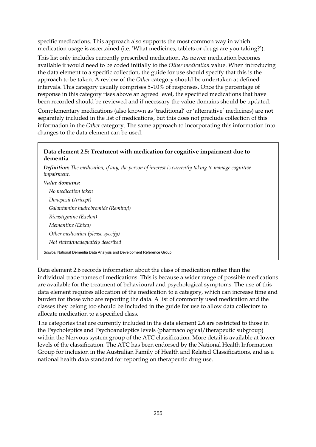specific medications. This approach also supports the most common way in which medication usage is ascertained (i.e. 'What medicines, tablets or drugs are you taking?').

This list only includes currently prescribed medication. As newer medication becomes available it would need to be coded initially to the *Other medication* value. When introducing the data element to a specific collection, the guide for use should specify that this is the approach to be taken. A review of the *Other* category should be undertaken at defined intervals. This category usually comprises 5–10% of responses. Once the percentage of response in this category rises above an agreed level, the specified medications that have been recorded should be reviewed and if necessary the value domains should be updated.

Complementary medications (also known as 'traditional' or 'alternative' medicines) are not separately included in the list of medications, but this does not preclude collection of this information in the *Other* category. The same approach to incorporating this information into changes to the data element can be used.

## **Data element 2.5: Treatment with medication for cognitive impairment due to dementia**

*Definition: The medication, if any, the person of interest is currently taking to manage cognitive impairment.* 

#### *Value domains:*

*No medication taken Donepezil (Aricept) Galantamine hydrobromide (Reminyl) Rivastigmine (Exelon) Memantine (Ebixa) Other medication (please specify) Not stated/inadequately described* 

*Source:* National Dementia Data Analysis and Development Reference Group.

Data element 2.6 records information about the class of medication rather than the individual trade names of medications. This is because a wider range of possible medications are available for the treatment of behavioural and psychological symptoms. The use of this data element requires allocation of the medication to a category, which can increase time and burden for those who are reporting the data. A list of commonly used medication and the classes they belong too should be included in the guide for use to allow data collectors to allocate medication to a specified class.

The categories that are currently included in the data element 2.6 are restricted to those in the Psycholeptics and Psychoanaleptics levels (pharmacological/therapeutic subgroup) within the Nervous system group of the ATC classification. More detail is available at lower levels of the classification. The ATC has been endorsed by the National Health Information Group for inclusion in the Australian Family of Health and Related Classifications, and as a national health data standard for reporting on therapeutic drug use.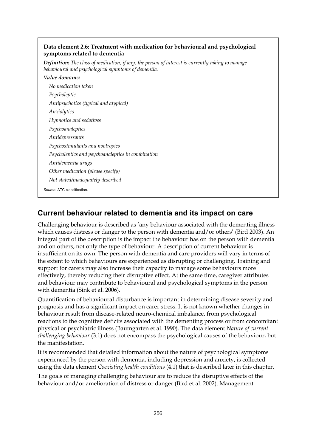### **Data element 2.6: Treatment with medication for behavioural and psychological symptoms related to dementia**

*Definition: The class of medication, if any, the person of interest is currently taking to manage behavioural and psychological symptoms of dementia.* 

| Value domains:                                    |
|---------------------------------------------------|
| No medication taken                               |
| Psycholeptic                                      |
| Antipsychotics (typical and atypical)             |
| Anxiolytics                                       |
| Hypnotics and sedatives                           |
| Psychoanaleptics                                  |
| Antidepressants                                   |
| Psychostimulants and nootropics                   |
| Psycholeptics and psychoanaleptics in combination |
| Antidementia drugs                                |
| Other medication (please specify)                 |
| Not stated/inadequately described                 |
| Source: ATC classification                        |

**Current behaviour related to dementia and its impact on care** 

Challenging behaviour is described as 'any behaviour associated with the dementing illness which causes distress or danger to the person with dementia and/or others' (Bird 2003). An integral part of the description is the impact the behaviour has on the person with dementia and on others, not only the type of behaviour. A description of current behaviour is insufficient on its own. The person with dementia and care providers will vary in terms of the extent to which behaviours are experienced as disrupting or challenging. Training and support for carers may also increase their capacity to manage some behaviours more effectively, thereby reducing their disruptive effect. At the same time, caregiver attributes and behaviour may contribute to behavioural and psychological symptoms in the person with dementia (Sink et al. 2006).

Quantification of behavioural disturbance is important in determining disease severity and prognosis and has a significant impact on carer stress. It is not known whether changes in behaviour result from disease-related neuro-chemical imbalance, from psychological reactions to the cognitive deficits associated with the dementing process or from concomitant physical or psychiatric illness (Baumgarten et al. 1990). The data element *Nature of current challenging behaviour* (3.1) does not encompass the psychological causes of the behaviour, but the manifestation.

It is recommended that detailed information about the nature of psychological symptoms experienced by the person with dementia, including depression and anxiety, is collected using the data element *Coexisting health conditions* (4.1) that is described later in this chapter.

The goals of managing challenging behaviour are to reduce the disruptive effects of the behaviour and/or amelioration of distress or danger (Bird et al. 2002). Management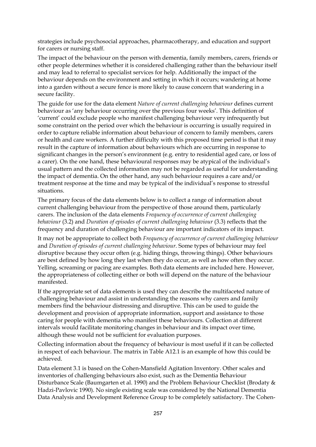strategies include psychosocial approaches, pharmacotherapy, and education and support for carers or nursing staff.

The impact of the behaviour on the person with dementia, family members, carers, friends or other people determines whether it is considered challenging rather than the behaviour itself and may lead to referral to specialist services for help. Additionally the impact of the behaviour depends on the environment and setting in which it occurs; wandering at home into a garden without a secure fence is more likely to cause concern that wandering in a secure facility.

The guide for use for the data element *Nature of current challenging behaviour* defines current behaviour as 'any behaviour occurring over the previous four weeks'. This definition of 'current' could exclude people who manifest challenging behaviour very infrequently but some constraint on the period over which the behaviour is occurring is usually required in order to capture reliable information about behaviour of concern to family members, carers or health and care workers. A further difficulty with this proposed time period is that it may result in the capture of information about behaviours which are occurring in response to significant changes in the person's environment (e.g. entry to residential aged care, or loss of a carer). On the one hand, these behavioural responses may be atypical of the individual's usual pattern and the collected information may not be regarded as useful for understanding the impact of dementia. On the other hand, any such behaviour requires a care and/or treatment response at the time and may be typical of the individual's response to stressful situations.

The primary focus of the data elements below is to collect a range of information about current challenging behaviour from the perspective of those around them, particularly carers. The inclusion of the data elements *Frequency of occurrence of current challenging behaviour* (3.2) and *Duration of episodes of current challenging behaviour* (3.3) reflects that the frequency and duration of challenging behaviour are important indicators of its impact.

It may not be appropriate to collect both *Frequency of occurrence of current challenging behaviour* and *Duration of episodes of current challenging behaviour*. Some types of behaviour may feel disruptive because they occur often (e.g. hiding things, throwing things). Other behaviours are best defined by how long they last when they do occur, as well as how often they occur. Yelling, screaming or pacing are examples. Both data elements are included here. However, the appropriateness of collecting either or both will depend on the nature of the behaviour manifested.

If the appropriate set of data elements is used they can describe the multifaceted nature of challenging behaviour and assist in understanding the reasons why carers and family members find the behaviour distressing and disruptive. This can be used to guide the development and provision of appropriate information, support and assistance to those caring for people with dementia who manifest these behaviours. Collection at different intervals would facilitate monitoring changes in behaviour and its impact over time, although these would not be sufficient for evaluation purposes.

Collecting information about the frequency of behaviour is most useful if it can be collected in respect of each behaviour. The matrix in Table A12.1 is an example of how this could be achieved.

Data element 3.1 is based on the Cohen-Mansfield Agitation Inventory. Other scales and inventories of challenging behaviours also exist, such as the Dementia Behaviour Disturbance Scale (Baumgarten et al. 1990) and the Problem Behaviour Checklist (Brodaty & Hadzi-Pavlovic 1990). No single existing scale was considered by the National Dementia Data Analysis and Development Reference Group to be completely satisfactory. The Cohen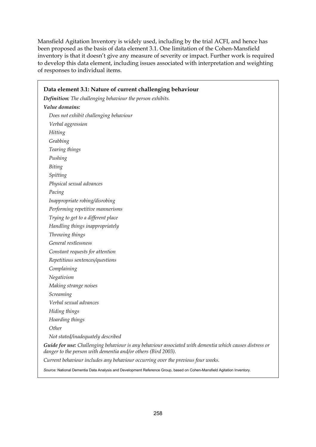Mansfield Agitation Inventory is widely used, including by the trial ACFI, and hence has been proposed as the basis of data element 3.1. One limitation of the Cohen-Mansfield inventory is that it doesn't give any measure of severity or impact. Further work is required to develop this data element, including issues associated with interpretation and weighting of responses to individual items.

| Data element 3.1: Nature of current challenging behaviour                                                                                                                |
|--------------------------------------------------------------------------------------------------------------------------------------------------------------------------|
| Definition: The challenging behaviour the person exhibits.                                                                                                               |
| Value domains:                                                                                                                                                           |
| Does not exhibit challenging behaviour                                                                                                                                   |
| Verbal aggression                                                                                                                                                        |
| <b>Hitting</b>                                                                                                                                                           |
| Grabbing                                                                                                                                                                 |
| Tearing things                                                                                                                                                           |
| Pushing                                                                                                                                                                  |
| Biting                                                                                                                                                                   |
| Spitting                                                                                                                                                                 |
| Physical sexual advances                                                                                                                                                 |
| Pacing                                                                                                                                                                   |
| Inappropriate robing/disrobing                                                                                                                                           |
| Performing repetitive mannerisms                                                                                                                                         |
| Trying to get to a different place                                                                                                                                       |
| Handling things inappropriately                                                                                                                                          |
| Throwing things                                                                                                                                                          |
| General restlessness                                                                                                                                                     |
| Constant requests for attention                                                                                                                                          |
| Repetitious sentences/questions                                                                                                                                          |
| Complaining                                                                                                                                                              |
| Negativism                                                                                                                                                               |
| Making strange noises                                                                                                                                                    |
| Screaming                                                                                                                                                                |
| Verbal sexual advances                                                                                                                                                   |
| Hiding things                                                                                                                                                            |
| Hoarding things                                                                                                                                                          |
| Other                                                                                                                                                                    |
| Not stated/inadequately described                                                                                                                                        |
| Guide for use: Challenging behaviour is any behaviour associated with dementia which causes distress or<br>danger to the person with dementia and/or others (Bird 2003). |
| Current behaviour includes any behaviour occurring over the previous four weeks.                                                                                         |

*Source:* National Dementia Data Analysis and Development Reference Group, based on Cohen-Mansfield Agitation Inventory.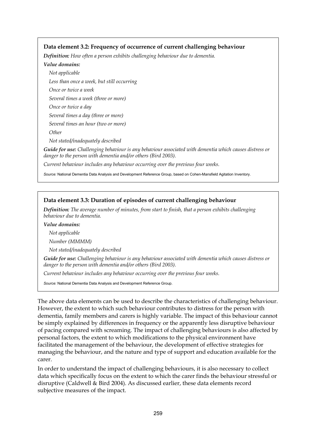#### **Data element 3.2: Frequency of occurrence of current challenging behaviour**

*Definition: How often a person exhibits challenging behaviour due to dementia.* 

#### *Value domains:*

*Not applicable Less than once a week, but still occurring Once or twice a week Several times a week (three or more) Once or twice a day Several times a day (three or more) Several times an hour (two or more) Other* 

*Not stated/inadequately described* 

*Guide for use: Challenging behaviour is any behaviour associated with dementia which causes distress or danger to the person with dementia and/or others (Bird 2003).*

*Current behaviour includes any behaviour occurring over the previous four weeks.* 

*Source:* National Dementia Data Analysis and Development Reference Group, based on Cohen-Mansfield Agitation Inventory.

#### **Data element 3.3: Duration of episodes of current challenging behaviour**

*Definition: The average number of minutes, from start to finish, that a person exhibits challenging behaviour due to dementia.* 

#### *Value domains:*

*Not applicable* 

*Number (MMMM)* 

*Not stated/inadequately described* 

*Guide for use: Challenging behaviour is any behaviour associated with dementia which causes distress or danger to the person with dementia and/or others (Bird 2003).*

*Current behaviour includes any behaviour occurring over the previous four weeks.* 

*Source:* National Dementia Data Analysis and Development Reference Group.

The above data elements can be used to describe the characteristics of challenging behaviour. However, the extent to which such behaviour contributes to distress for the person with dementia, family members and carers is highly variable. The impact of this behaviour cannot be simply explained by differences in frequency or the apparently less disruptive behaviour of pacing compared with screaming. The impact of challenging behaviours is also affected by personal factors, the extent to which modifications to the physical environment have facilitated the management of the behaviour, the development of effective strategies for managing the behaviour, and the nature and type of support and education available for the carer.

In order to understand the impact of challenging behaviours, it is also necessary to collect data which specifically focus on the extent to which the carer finds the behaviour stressful or disruptive (Caldwell & Bird 2004). As discussed earlier, these data elements record subjective measures of the impact.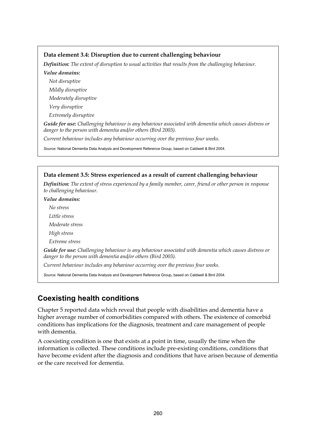### **Data element 3.4: Disruption due to current challenging behaviour**

*Definition: The extent of disruption to usual activities that results from the challenging behaviour.* 

*Value domains:* 

*Not disruptive* 

*Mildly disruptive* 

*Moderately disruptive* 

*Very disruptive* 

*Extremely disruptive* 

*Guide for use: Challenging behaviour is any behaviour associated with dementia which causes distress or danger to the person with dementia and/or others (Bird 2003).*

*Current behaviour includes any behaviour occurring over the previous four weeks.* 

*Source:* National Dementia Data Analysis and Development Reference Group, based on Caldwell & Bird 2004.

## **Data element 3.5: Stress experienced as a result of current challenging behaviour**  *Definition: The extent of stress experienced by a family member, carer, friend or other person in response to challenging behaviour. Value domains: No stress Little stress Moderate stress High stress Extreme stress Guide for use: Challenging behaviour is any behaviour associated with dementia which causes distress or danger to the person with dementia and/or others (Bird 2003). Current behaviour includes any behaviour occurring over the previous four weeks. Source:* National Dementia Data Analysis and Development Reference Group, based on Caldwell & Bird 2004.

## **Coexisting health conditions**

Chapter 5 reported data which reveal that people with disabilities and dementia have a higher average number of comorbidities compared with others. The existence of comorbid conditions has implications for the diagnosis, treatment and care management of people with dementia.

A coexisting condition is one that exists at a point in time, usually the time when the information is collected. These conditions include pre-existing conditions, conditions that have become evident after the diagnosis and conditions that have arisen because of dementia or the care received for dementia.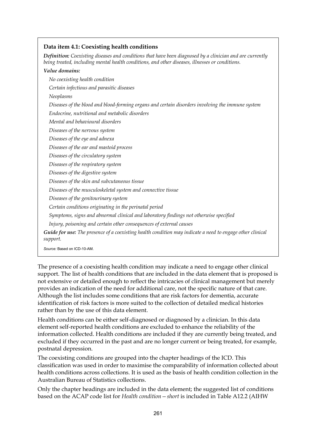#### **Data item 4.1: Coexisting health conditions**

*Definition: Coexisting diseases and conditions that have been diagnosed by a clinician and are currently being treated, including mental health conditions, and other diseases, illnesses or conditions.* 

*Value domains: No coexisting health condition Certain infectious and parasitic diseases Neoplasms Diseases of the blood and blood-forming organs and certain disorders involving the immune system Endocrine, nutritional and metabolic disorders Mental and behavioural disorders Diseases of the nervous system Diseases of the eye and adnexa Diseases of the ear and mastoid process Diseases of the circulatory system Diseases of the respiratory system Diseases of the digestive system Diseases of the skin and subcutaneous tissue Diseases of the musculoskeletal system and connective tissue Diseases of the genitourinary system Certain conditions originating in the perinatal period Symptoms, signs and abnormal clinical and laboratory findings not otherwise specified Injury, poisoning and certain other consequences of external causes Guide for use: The presence of a coexisting health condition may indicate a need to engage other clinical support.*

*Source:* Based on ICD-10-AM.

The presence of a coexisting health condition may indicate a need to engage other clinical support. The list of health conditions that are included in the data element that is proposed is not extensive or detailed enough to reflect the intricacies of clinical management but merely provides an indication of the need for additional care, not the specific nature of that care. Although the list includes some conditions that are risk factors for dementia, accurate identification of risk factors is more suited to the collection of detailed medical histories rather than by the use of this data element.

Health conditions can be either self-diagnosed or diagnosed by a clinician. In this data element self-reported health conditions are excluded to enhance the reliability of the information collected. Health conditions are included if they are currently being treated, and excluded if they occurred in the past and are no longer current or being treated, for example, postnatal depression.

The coexisting conditions are grouped into the chapter headings of the ICD. This classification was used in order to maximise the comparability of information collected about health conditions across collections. It is used as the basis of health condition collection in the Australian Bureau of Statistics collections.

Only the chapter headings are included in the data element; the suggested list of conditions based on the ACAP code list for *Health condition—short* is included in Table A12.2 (AIHW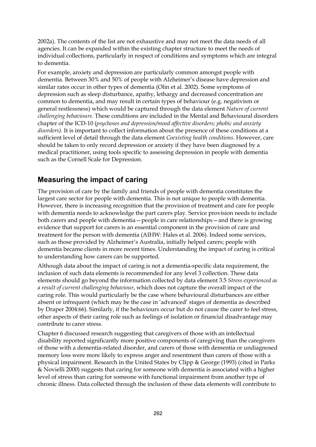2002a). The contents of the list are not exhaustive and may not meet the data needs of all agencies. It can be expanded within the existing chapter structure to meet the needs of individual collections, particularly in respect of conditions and symptoms which are integral to dementia.

For example, anxiety and depression are particularly common amongst people with dementia. Between 30% and 50% of people with Alzheimer's disease have depression and similar rates occur in other types of dementia (Olin et al. 2002). Some symptoms of depression such as sleep disturbance, apathy, lethargy and decreased concentration are common to dementia, and may result in certain types of behaviour (e.g. negativism or general restlessness) which would be captured through the data element *Nature of current challenging behaviours.* These conditions are included in the Mental and Behavioural disorders chapter of the ICD-10 (*psychoses and depression/mood affective disorders; phobic and anxiety disorders).* It is important to collect information about the presence of these conditions at a sufficient level of detail through the data element *Coexisting health conditions*. However, care should be taken to only record depression or anxiety if they have been diagnosed by a medical practitioner, using tools specific to assessing depression in people with dementia such as the Cornell Scale for Depression.

## **Measuring the impact of caring**

The provision of care by the family and friends of people with dementia constitutes the largest care sector for people with dementia. This is not unique to people with dementia. However, there is increasing recognition that the provision of treatment and care for people with dementia needs to acknowledge the part carers play. Service provision needs to include both carers and people with dementia—people in care relationships—and there is growing evidence that support for carers is an essential component in the provision of care and treatment for the person with dementia (AIHW: Hales et al. 2006). Indeed some services, such as those provided by Alzheimer's Australia, initially helped carers; people with dementia became clients in more recent times. Understanding the impact of caring is critical to understanding how carers can be supported.

Although data about the impact of caring is not a dementia-specific data requirement, the inclusion of such data elements is recommended for any level 3 collection. These data elements should go beyond the information collected by data element 3.5 *Stress experienced as a result of current challenging behaviour*, which does not capture the overall impact of the caring role. This would particularly be the case where behavioural disturbances are either absent or infrequent (which may be the case in 'advanced' stages of dementia as described by Draper 2004:66). Similarly, if the behaviours occur but do not cause the carer to feel stress, other aspects of their caring role such as feelings of isolation or financial disadvantage may contribute to carer stress.

Chapter 6 discussed research suggesting that caregivers of those with an intellectual disability reported significantly more positive components of caregiving than the caregivers of those with a dementia-related disorder, and carers of those with dementia or undiagnosed memory loss were more likely to express anger and resentment than carers of those with a physical impairment. Research in the United States by Clipp & George (1993) (cited in Parks & Novielli 2000) suggests that caring for someone with dementia is associated with a higher level of stress than caring for someone with functional impairment from another type of chronic illness. Data collected through the inclusion of these data elements will contribute to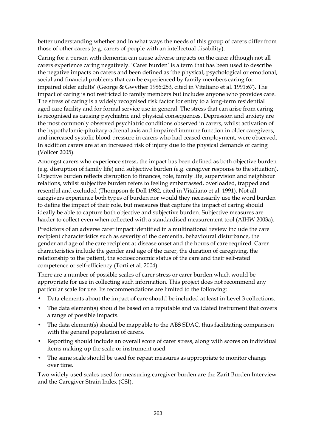better understanding whether and in what ways the needs of this group of carers differ from those of other carers (e.g. carers of people with an intellectual disability).

Caring for a person with dementia can cause adverse impacts on the carer although not all carers experience caring negatively. 'Carer burden' is a term that has been used to describe the negative impacts on carers and been defined as 'the physical, psychological or emotional, social and financial problems that can be experienced by family members caring for impaired older adults' (George & Gwyther 1986:253, cited in Vitaliano et al. 1991:67). The impact of caring is not restricted to family members but includes anyone who provides care. The stress of caring is a widely recognised risk factor for entry to a long-term residential aged care facility and for formal service use in general. The stress that can arise from caring is recognised as causing psychiatric and physical consequences. Depression and anxiety are the most commonly observed psychiatric conditions observed in carers, whilst activation of the hypothalamic-pituitary-adrenal axis and impaired immune function in older caregivers, and increased systolic blood pressure in carers who had ceased employment, were observed. In addition carers are at an increased risk of injury due to the physical demands of caring (Volicer 2005).

Amongst carers who experience stress, the impact has been defined as both objective burden (e.g. disruption of family life) and subjective burden (e.g. caregiver response to the situation). Objective burden reflects disruption to finances, role, family life, supervision and neighbour relations, whilst subjective burden refers to feeling embarrassed, overloaded, trapped and resentful and excluded (Thompson & Doll 1982, cited in Vitaliano et al. 1991). Not all caregivers experience both types of burden nor would they necessarily use the word burden to define the impact of their role, but measures that capture the impact of caring should ideally be able to capture both objective and subjective burden. Subjective measures are harder to collect even when collected with a standardised measurement tool (AIHW 2003a).

Predictors of an adverse carer impact identified in a multinational review include the care recipient characteristics such as severity of the dementia, behavioural disturbance, the gender and age of the care recipient at disease onset and the hours of care required. Carer characteristics include the gender and age of the carer, the duration of caregiving, the relationship to the patient, the socioeconomic status of the care and their self-rated competence or self-efficiency (Torti et al. 2004).

There are a number of possible scales of carer stress or carer burden which would be appropriate for use in collecting such information. This project does not recommend any particular scale for use. Its recommendations are limited to the following:

- Data elements about the impact of care should be included at least in Level 3 collections.
- The data element(s) should be based on a reputable and validated instrument that covers a range of possible impacts.
- The data element(s) should be mappable to the ABS SDAC, thus facilitating comparison with the general population of carers.
- Reporting should include an overall score of carer stress, along with scores on individual items making up the scale or instrument used.
- The same scale should be used for repeat measures as appropriate to monitor change over time.

Two widely used scales used for measuring caregiver burden are the Zarit Burden Interview and the Caregiver Strain Index (CSI).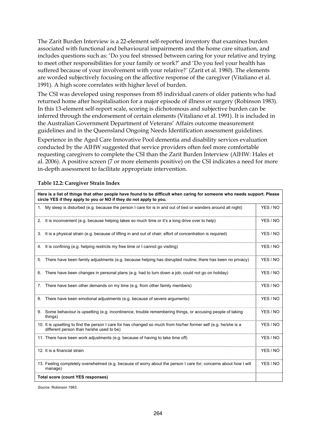The Zarit Burden Interview is a 22-element self-reported inventory that examines burden associated with functional and behavioural impairments and the home care situation, and includes questions such as: 'Do you feel stressed between caring for your relative and trying to meet other responsibilities for your family or work?' and 'Do you feel your health has suffered because of your involvement with your relative?*'* (Zarit et al. 1980). The elements are worded subjectively focusing on the affective response of the caregiver (Vitaliano et al. 1991). A high score correlates with higher level of burden.

The CSI was developed using responses from 85 individual carers of older patients who had returned home after hospitalisation for a major episode of illness or surgery (Robinson 1983). In this 13-element self-report scale, scoring is dichotomous and subjective burden can be inferred through the endorsement of certain elements (Vitaliano et al. 1991). It is included in the Australian Government Department of Veterans' Affairs outcome measurement guidelines and in the Queensland Ongoing Needs Identification assessment guidelines.

Experience in the Aged Care Innovative Pool dementia and disability services evaluation conducted by the AIHW suggested that service providers often feel more comfortable requesting caregivers to complete the CSI than the Zarit Burden Interview (AIHW: Hales et al. 2006). A positive screen (7 or more elements positive) on the CSI indicates a need for more in-depth assessment to facilitate appropriate intervention.

| Here is a list of things that other people have found to be difficult when caring for someone who needs support. Please<br>circle YES if they apply to you or NO if they do not apply to you. |          |
|-----------------------------------------------------------------------------------------------------------------------------------------------------------------------------------------------|----------|
| 1. My sleep is disturbed (e.g. because the person I care for is in and out of bed or wanders around all night)                                                                                | YES / NO |
| 2. It is inconvenient (e.g. because helping takes so much time or it's a long drive over to help)                                                                                             | YES / NO |
| 3. It is a physical strain (e.g. because of lifting in and out of chair; effort of concentration is required)                                                                                 | YES / NO |
| 4. It is confining (e.g. helping restricts my free time or I cannot go visiting)                                                                                                              | YES / NO |
| 5. There have been family adjustments (e.g. because helping has disrupted routine; there has been no privacy)                                                                                 | YES / NO |
| 6. There have been changes in personal plans (e.g. had to turn down a job; could not go on holiday)                                                                                           | YES / NO |
| 7. There have been other demands on my time (e.g. from other family members)                                                                                                                  | YES / NO |
| 8. There have been emotional adjustments (e.g. because of severe arguments)                                                                                                                   | YES / NO |
| Some behaviour is upsetting (e.g. incontinence, trouble remembering things, or accusing people of taking<br>9.<br>things)                                                                     | YES / NO |
| 10. It is upsetting to find the person I care for has changed so much from his/her former self (e.g. he/she is a<br>different person than he/she used to be)                                  | YES / NO |
| 11. There have been work adjustments (e.g. because of having to take time off)                                                                                                                | YES / NO |
| 12. It is a financial strain                                                                                                                                                                  | YES / NO |
| 13. Feeling completely overwhelmed (e.g. because of worry about the person I care for; concerns about how I will<br>manage)                                                                   | YES / NO |
| <b>Total score (count YES responses)</b>                                                                                                                                                      |          |

#### **Table 12.2: Caregiver Strain Index**

*Source:* Robinson 1983.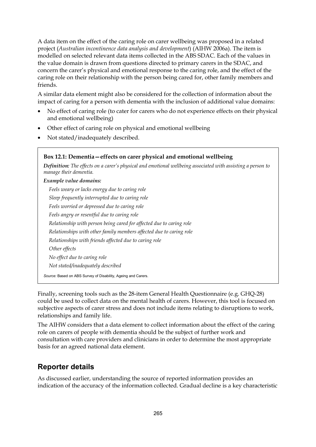A data item on the effect of the caring role on carer wellbeing was proposed in a related project (*Australian incontinence data analysis and development*) (AIHW 2006a). The item is modelled on selected relevant data items collected in the ABS SDAC. Each of the values in the value domain is drawn from questions directed to primary carers in the SDAC, and concern the carer's physical and emotional response to the caring role, and the effect of the caring role on their relationship with the person being cared for, other family members and friends.

A similar data element might also be considered for the collection of information about the impact of caring for a person with dementia with the inclusion of additional value domains:

- No effect of caring role (to cater for carers who do not experience effects on their physical and emotional wellbeing)
- Other effect of caring role on physical and emotional wellbeing
- Not stated/inadequately described.

| Box 12.1: Dementia – effects on carer physical and emotional wellbeing                                                                       |
|----------------------------------------------------------------------------------------------------------------------------------------------|
| <b>Definition:</b> The effects on a carer's physical and emotional wellbeing associated with assisting a person to<br>manage their dementia. |
| Example value domains:                                                                                                                       |
| Feels weary or lacks energy due to caring role                                                                                               |
| Sleep frequently interrupted due to caring role                                                                                              |
| Feels worried or depressed due to caring role                                                                                                |
| Feels angry or resentful due to caring role                                                                                                  |
| Relationship with person being cared for affected due to caring role                                                                         |
| Relationships with other family members affected due to caring role                                                                          |
| Relationships with friends affected due to caring role                                                                                       |
| Other effects                                                                                                                                |
| No effect due to caring role                                                                                                                 |
| Not stated/inadequately described                                                                                                            |
| Source: Based on ABS Survey of Disability, Ageing and Carers.                                                                                |

Finally, screening tools such as the 28-item General Health Questionnaire (e.g. GHQ-28) could be used to collect data on the mental health of carers. However, this tool is focused on subjective aspects of carer stress and does not include items relating to disruptions to work, relationships and family life.

The AIHW considers that a data element to collect information about the effect of the caring role on carers of people with dementia should be the subject of further work and consultation with care providers and clinicians in order to determine the most appropriate basis for an agreed national data element.

## **Reporter details**

As discussed earlier, understanding the source of reported information provides an indication of the accuracy of the information collected. Gradual decline is a key characteristic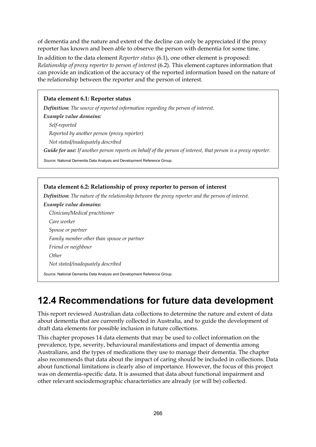of dementia and the nature and extent of the decline can only be appreciated if the proxy reporter has known and been able to observe the person with dementia for some time.

In addition to the data element *Reporter status* (6.1), one other element is proposed: *Relationship of proxy reporter to person of interest* (6.2). This element captures information that can provide an indication of the accuracy of the reported information based on the nature of the relationship between the reporter and the person of interest.

## **Data element 6.1: Reporter status**

*Definition: The source of reported information regarding the person of interest.* 

*Example value domains: Self-reported Reported by another person (proxy reporter) Not stated/inadequately described Guide for use: If another person reports on behalf of the person of interest, that person is a proxy reporter.*

*Source:* National Dementia Data Analysis and Development Reference Group.

### **Data element 6.2: Relationship of proxy reporter to person of interest**

*Definition: The nature of the relationship between the proxy reporter and the person of interest.* 

*Example value domains:* 

*Clinician/Medical practitioner Care worker Spouse or partner Family member other than spouse or partner Friend or neighbour Other Not stated/inadequately described* 

*Source:* National Dementia Data Analysis and Development Reference Group.

# **12.4 Recommendations for future data development**

This report reviewed Australian data collections to determine the nature and extent of data about dementia that are currently collected in Australia, and to guide the development of draft data elements for possible inclusion in future collections.

This chapter proposes 14 data elements that may be used to collect information on the prevalence, type, severity, behavioural manifestations and impact of dementia among Australians, and the types of medications they use to manage their dementia. The chapter also recommends that data about the impact of caring should be included in collections. Data about functional limitations is clearly also of importance. However, the focus of this project was on dementia-specific data. It is assumed that data about functional impairment and other relevant sociodemographic characteristics are already (or will be) collected.